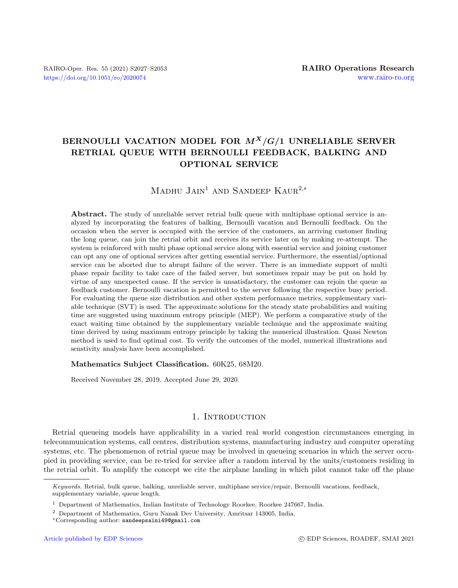# BERNOULLI VACATION MODEL FOR  $M^X/G/1$  UNRELIABLE SERVER RETRIAL QUEUE WITH BERNOULLI FEEDBACK, BALKING AND OPTIONAL SERVICE

# MADHU  $J$ AIN<sup>1</sup> AND SANDEEP KAUR<sup>2,\*</sup>

Abstract. The study of unreliable server retrial bulk queue with multiphase optional service is analyzed by incorporating the features of balking, Bernoulli vacation and Bernoulli feedback. On the occasion when the server is occupied with the service of the customers, an arriving customer finding the long queue, can join the retrial orbit and receives its service later on by making re-attempt. The system is reinforced with multi phase optional service along with essential service and joining customer can opt any one of optional services after getting essential service. Furthermore, the essential/optional service can be aborted due to abrupt failure of the server. There is an immediate support of multi phase repair facility to take care of the failed server, but sometimes repair may be put on hold by virtue of any unexpected cause. If the service is unsatisfactory, the customer can rejoin the queue as feedback customer. Bernoulli vacation is permitted to the server following the respective busy period. For evaluating the queue size distribution and other system performance metrics, supplementary variable technique (SVT) is used. The approximate solutions for the steady state probabilities and waiting time are suggested using maximum entropy principle (MEP). We perform a comparative study of the exact waiting time obtained by the supplementary variable technique and the approximate waiting time derived by using maximum entropy principle by taking the numerical illustration. Quasi Newton method is used to find optimal cost. To verify the outcomes of the model, numerical illustrations and senstivity analysis have been accomplished.

#### Mathematics Subject Classification. 60K25, 68M20.

Received November 28, 2019. Accepted June 29, 2020.

# 1. INTRODUCTION

Retrial queueing models have applicability in a varied real world congestion circumstances emerging in telecommunication systems, call centres, distribution systems, manufacturing industry and computer operating systems, etc. The phenomenon of retrial queue may be involved in queueing scenarios in which the server occupied in providing service, can be re-tried for service after a random interval by the units/customers residing in the retrial orbit. To amplify the concept we cite the airplane landing in which pilot cannot take off the plane

Keywords. Retrial, bulk queue, balking, unreliable server, multiphase service/repair, Bernoulli vacations, feedback, supplementary variable, queue length.

<sup>1</sup> Department of Mathematics, Indian Institute of Technology Roorkee, Roorkee 247667, India.

<sup>2</sup> Department of Mathematics, Guru Nanak Dev University, Amritsar 143005, India.

<sup>∗</sup>Corresponding author: [sandeepsaini49@gmail.com](mailto:sandeepsaini49@gmail.com)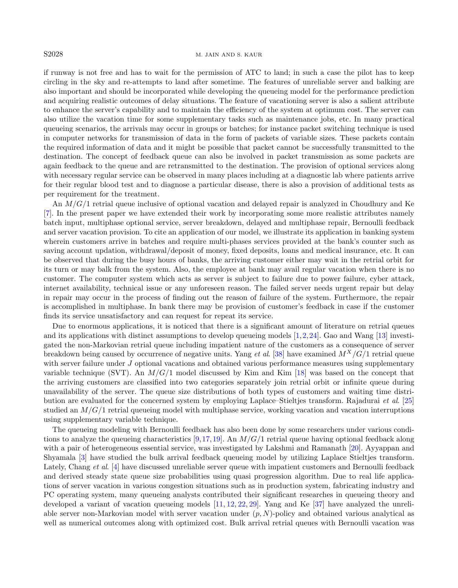#### S2028 M. JAIN AND S. KAUR

if runway is not free and has to wait for the permission of ATC to land; in such a case the pilot has to keep circling in the sky and re-attempts to land after sometime. The features of unreliable server and balking are also important and should be incorporated while developing the queueing model for the performance prediction and acquiring realistic outcomes of delay situations. The feature of vacationing server is also a salient attribute to enhance the server's capability and to maintain the efficiency of the system at optimum cost. The server can also utilize the vacation time for some supplementary tasks such as maintenance jobs, etc. In many practical queueing scenarios, the arrivals may occur in groups or batches; for instance packet switching technique is used in computer networks for transmission of data in the form of packets of variable sizes. These packets contain the required information of data and it might be possible that packet cannot be successfully transmitted to the destination. The concept of feedback queue can also be involved in packet transmission as some packets are again feedback to the queue and are retransmitted to the destination. The provision of optional services along with necessary regular service can be observed in many places including at a diagnostic lab where patients arrive for their regular blood test and to diagnose a particular disease, there is also a provision of additional tests as per requirement for the treatment.

An  $M/G/1$  retrial queue inclusive of optional vacation and delayed repair is analyzed in Choudhury and Ke [\[7\]](#page-25-0). In the present paper we have extended their work by incorporating some more realistic attributes namely batch input, multiphase optional service, server breakdown, delayed and multiphase repair, Bernoulli feedback and server vacation provision. To cite an application of our model, we illustrate its application in banking system wherein customers arrive in batches and require multi-phases services provided at the bank's counter such as saving account updation, withdrawal/deposit of money, fixed deposits, loans and medical insurance, etc. It can be observed that during the busy hours of banks, the arriving customer either may wait in the retrial orbit for its turn or may balk from the system. Also, the employee at bank may avail regular vacation when there is no customer. The computer system which acts as server is subject to failure due to power failure, cyber attack, internet availability, technical issue or any unforeseen reason. The failed server needs urgent repair but delay in repair may occur in the process of finding out the reason of failure of the system. Furthermore, the repair is accomplished in multiphase. In bank there may be provision of customer's feedback in case if the customer finds its service unsatisfactory and can request for repeat its service.

Due to enormous applications, it is noticed that there is a significant amount of literature on retrial queues and its applications with distinct assumptions to develop queueing models [\[1,](#page-25-1)[2,](#page-25-2)[24\]](#page-25-3). Gao and Wang [\[13\]](#page-25-4) investigated the non-Markovian retrial queue including impatient nature of the customers as a consequence of server breakdown being caused by occurrence of negative units. Yang *et al.* [\[38\]](#page-26-0) have examined  $M^X/G/1$  retrial queue with server failure under J optional vacations and obtained various performance measures using supplementary variable technique (SVT). An  $M/G/1$  model discussed by Kim and Kim [\[18\]](#page-25-5) was based on the concept that the arriving customers are classified into two categories separately join retrial orbit or infinite queue during unavailability of the server. The queue size distributions of both types of customers and waiting time distribution are evaluated for the concerned system by employing Laplace–Stieltjes transform. Rajadurai et al. [\[25\]](#page-25-6) studied an  $M/G/1$  retrial queueing model with multiphase service, working vacation and vacation interruptions using supplementary variable technique.

The queueing modeling with Bernoulli feedback has also been done by some researchers under various condi-tions to analyze the queueing characteristics [\[9,](#page-25-7)[17,](#page-25-8)[19\]](#page-25-9). An  $M/G/1$  retrial queue having optional feedback along with a pair of heterogeneous essential service, was investigated by Lakshmi and Ramanath [\[20\]](#page-25-10). Ayyappan and Shyamala [\[3\]](#page-25-11) have studied the bulk arrival feedback queueing model by utilizing Laplace Stieltjes transform. Lately, Chang et al. [\[4\]](#page-25-12) have discussed unreliable server queue with impatient customers and Bernoulli feedback and derived steady state queue size probabilities using quasi progression algorithm. Due to real life applications of server vacation in various congestion situations such as in production system, fabricating industry and PC operating system, many queueing analysts contributed their significant researches in queueing theory and developed a variant of vacation queueing models [\[11,](#page-25-13) [12,](#page-25-14) [22,](#page-25-15) [29\]](#page-25-16). Yang and Ke [\[37\]](#page-26-1) have analyzed the unreliable server non-Markovian model with server vacation under  $(p, N)$ -policy and obtained various analytical as well as numerical outcomes along with optimized cost. Bulk arrival retrial queues with Bernoulli vacation was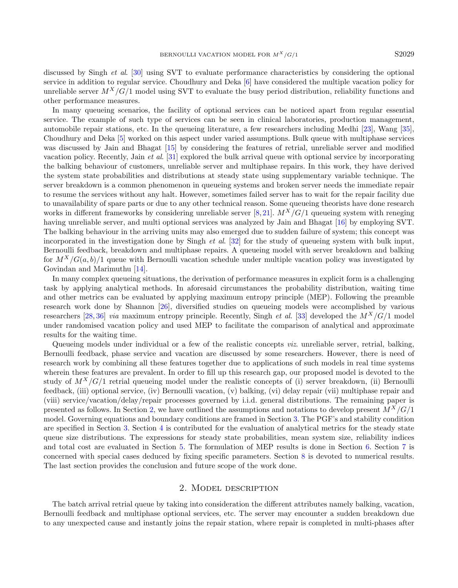discussed by Singh et al. [\[30\]](#page-25-17) using SVT to evaluate performance characteristics by considering the optional service in addition to regular service. Choudhury and Deka [\[6\]](#page-25-18) have considered the multiple vacation policy for unreliable server  $M^X/G/1$  model using SVT to evaluate the busy period distribution, reliability functions and other performance measures.

In many queueing scenarios, the facility of optional services can be noticed apart from regular essential service. The example of such type of services can be seen in clinical laboratories, production management, automobile repair stations, etc. In the queueing literature, a few researchers including Medhi [\[23\]](#page-25-19), Wang [\[35\]](#page-26-2), Choudhury and Deka [\[5\]](#page-25-20) worked on this aspect under varied assumptions. Bulk queue with multiphase services was discussed by Jain and Bhagat [\[15\]](#page-25-21) by considering the features of retrial, unreliable server and modified vacation policy. Recently, Jain et al. [\[31\]](#page-25-22) explored the bulk arrival queue with optional service by incorporating the balking behaviour of customers, unreliable server and multiphase repairs. In this work, they have derived the system state probabilities and distributions at steady state using supplementary variable technique. The server breakdown is a common phenomenon in queueing systems and broken server needs the immediate repair to resume the services without any halt. However, sometimes failed server has to wait for the repair facility due to unavailability of spare parts or due to any other technical reason. Some queueing theorists have done research works in different frameworks by considering unreliable server [\[8,](#page-25-23) [21\]](#page-25-24).  $M^X/G/1$  queueing system with reneging having unreliable server, and multi optional services was analyzed by Jain and Bhagat [\[16\]](#page-25-25) by employing SVT. The balking behaviour in the arriving units may also emerged due to sudden failure of system; this concept was incorporated in the investigation done by Singh et al. [\[32\]](#page-25-26) for the study of queueing system with bulk input, Bernoulli feedback, breakdown and multiphase repairs. A queueing model with server breakdown and balking for  $M^X/G(a, b)/1$  queue with Bernoulli vacation schedule under multiple vacation policy was investigated by Govindan and Marimuthu [\[14\]](#page-25-27).

In many complex queueing situations, the derivation of performance measures in explicit form is a challenging task by applying analytical methods. In aforesaid circumstances the probability distribution, waiting time and other metrics can be evaluated by applying maximum entropy principle (MEP). Following the preamble research work done by Shannon [\[26\]](#page-25-28), diversified studies on queueing models were accomplished by various researchers [\[28,](#page-25-29) [36\]](#page-26-3) via maximum entropy principle. Recently, Singh et al. [\[33\]](#page-25-30) developed the  $M^X/G/1$  model under randomised vacation policy and used MEP to facilitate the comparison of analytical and approximate results for the waiting time.

Queueing models under individual or a few of the realistic concepts viz. unreliable server, retrial, balking, Bernoulli feedback, phase service and vacation are discussed by some researchers. However, there is need of research work by combining all these features together due to applications of such models in real time systems wherein these features are prevalent. In order to fill up this research gap, our proposed model is devoted to the study of  $M^X/G/1$  retrial queueing model under the realistic concepts of (i) server breakdown, (ii) Bernoulli feedback, (iii) optional service, (iv) Bernoulli vacation, (v) balking, (vi) delay repair (vii) multiphase repair and (viii) service/vacation/delay/repair processes governed by i.i.d. general distributions. The remaining paper is presented as follows. In Section [2,](#page-2-0) we have outlined the assumptions and notations to develop present  $M^X/G/1$ model. Governing equations and boundary conditions are framed in Section [3.](#page-4-0) The PGF's and stability condition are specified in Section [3.](#page-4-0) Section [4](#page-6-0) is contributed for the evaluation of analytical metrics for the steady state queue size distributions. The expressions for steady state probabilities, mean system size, reliability indices and total cost are evaluated in Section [5.](#page-8-0) The formulation of MEP results is done in Section [6.](#page-12-0) Section [7](#page-14-0) is concerned with special cases deduced by fixing specific parameters. Section [8](#page-15-0) is devoted to numerical results. The last section provides the conclusion and future scope of the work done.

#### 2. Model description

<span id="page-2-0"></span>The batch arrival retrial queue by taking into consideration the different attributes namely balking, vacation, Bernoulli feedback and multiphase optional services, etc. The server may encounter a sudden breakdown due to any unexpected cause and instantly joins the repair station, where repair is completed in multi-phases after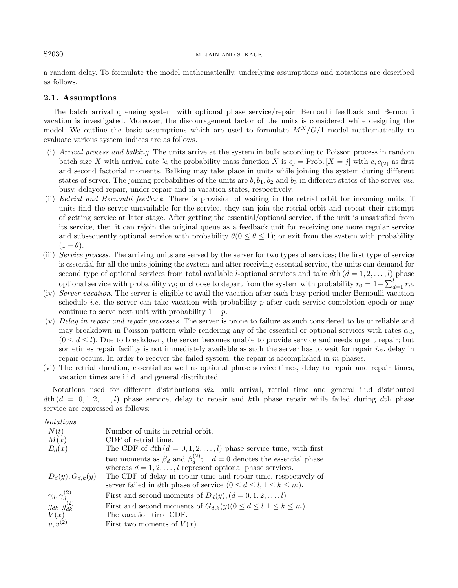### S2030 M. JAIN AND S. KAUR

a random delay. To formulate the model mathematically, underlying assumptions and notations are described as follows.

# 2.1. Assumptions

The batch arrival queueing system with optional phase service/repair, Bernoulli feedback and Bernoulli vacation is investigated. Moreover, the discouragement factor of the units is considered while designing the model. We outline the basic assumptions which are used to formulate  $M^X/G/1$  model mathematically to evaluate various system indices are as follows.

- (i) Arrival process and balking. The units arrive at the system in bulk according to Poisson process in random batch size X with arrival rate  $\lambda$ ; the probability mass function X is  $c_j = \text{Prob.}[X = j]$  with  $c, c_{(2)}$  as first and second factorial moments. Balking may take place in units while joining the system during different states of server. The joining probabilities of the units are  $b, b_1, b_2$  and  $b_3$  in different states of the server viz. busy, delayed repair, under repair and in vacation states, respectively.
- (ii) Retrial and Bernoulli feedback. There is provision of waiting in the retrial orbit for incoming units; if units find the server unavailable for the service, they can join the retrial orbit and repeat their attempt of getting service at later stage. After getting the essential/optional service, if the unit is unsatisfied from its service, then it can rejoin the original queue as a feedback unit for receiving one more regular service and subsequently optional service with probability  $\theta(0 \leq \theta \leq 1)$ ; or exit from the system with probability  $(1 - \theta).$
- (iii) Service process. The arriving units are served by the server for two types of services; the first type of service is essential for all the units joining the system and after receiving essential service, the units can demand for second type of optional services from total available *l*-optional services and take dth  $(d = 1, 2, \ldots, l)$  phase optional service with probability  $r_d$ ; or choose to depart from the system with probability  $r_0 = 1 - \sum_{d=1}^{l} r_d$ .
- (iv) Server vacation. The server is eligible to avail the vacation after each busy period under Bernoulli vacation schedule *i.e.* the server can take vacation with probability p after each service completion epoch or may continue to serve next unit with probability  $1 - p$ .
- (v) Delay in repair and repair processes. The server is prone to failure as such considered to be unreliable and may breakdown in Poisson pattern while rendering any of the essential or optional services with rates  $\alpha_d$ ,  $(0 \leq d \leq l)$ . Due to breakdown, the server becomes unable to provide service and needs urgent repair; but sometimes repair facility is not immediately available as such the server has to wait for repair *i.e.* delay in repair occurs. In order to recover the failed system, the repair is accomplished in m-phases.
- (vi) The retrial duration, essential as well as optional phase service times, delay to repair and repair times, vacation times are i.i.d. and general distributed.

Notations used for different distributions viz. bulk arrival, retrial time and general i.i.d distributed  $d\text{th}(d = 0, 1, 2, \ldots, l)$  phase service, delay to repair and kth phase repair while failed during dth phase service are expressed as follows:

# Notations

| N(t)                                                 | Number of units in retrial orbit.                                                 |
|------------------------------------------------------|-----------------------------------------------------------------------------------|
| M(x)                                                 | CDF of retrial time.                                                              |
| $B_d(x)$                                             | The CDF of $d\text{th}$ $(d = 0, 1, 2, \ldots, l)$ phase service time, with first |
|                                                      | two moments as $\beta_d$ and $\beta_d^{(2)}$ ; $d=0$ denotes the essential phase  |
|                                                      | whereas $d = 1, 2, \ldots, l$ represent optional phase services.                  |
| $D_d(y), G_{d,k}(y)$                                 | The CDF of delay in repair time and repair time, respectively of                  |
|                                                      | server failed in dth phase of service $(0 \leq d \leq l, 1 \leq k \leq m)$ .      |
| $\gamma_d, \gamma_d^{(2)}$<br>$g_{dk}, g_{dk}^{(2)}$ | First and second moments of $D_d(y)$ , $(d = 0, 1, 2, , l)$                       |
|                                                      | First and second moments of $G_{d,k}(y)$ ( $0 \le d \le l, 1 \le k \le m$ ).      |
| V(x)                                                 | The vacation time CDF.                                                            |
| $v, v^{(2)}$                                         | First two moments of $V(x)$ .                                                     |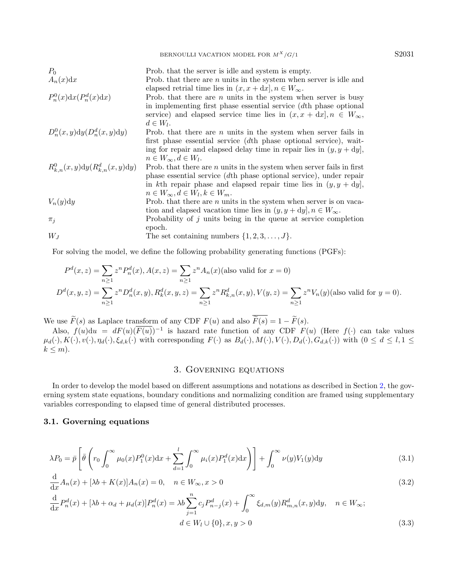BERNOULLI VACATION MODEL FOR  $M^X/G/1$  S2031

| $P_0$<br>$A_n(x)dx$                  | Prob. that the server is idle and system is empty.<br>Prob. that there are $n$ units in the system when server is idle and                                                                                                                                                                                 |
|--------------------------------------|------------------------------------------------------------------------------------------------------------------------------------------------------------------------------------------------------------------------------------------------------------------------------------------------------------|
| $P_n^0(x)dx(P_n^d(x)dx)$             | elapsed retrial time lies in $(x, x + dx), n \in W_{\infty}$ .<br>Prob. that there are $n$ units in the system when server is busy<br>in implementing first phase essential service $(dth)$ phase optional<br>service) and elapsed service time lies in $(x, x + dx), n \in W_{\infty}$ ,<br>$d \in W_l$ . |
| $D_n^0(x,y)dy(D_n^d(x,y)dy)$         | Prob. that there are $n$ units in the system when server fails in<br>first phase essential service (dth phase optional service), wait-<br>ing for repair and elapsed delay time in repair lies in $(y, y + dy)$ ,<br>$n \in W_{\infty}, d \in W_l.$                                                        |
| $R_{k,n}^0(x,y)dy(R_{k,n}^d(x,y)dy)$ | Prob. that there are $n$ units in the system when server fails in first<br>phase essential service $(dth)$ phase optional service), under repair<br>in kth repair phase and elapsed repair time lies in $(y, y + dy)$ ,<br>$n \in W_{\infty}, d \in W_l, k \in W_m.$                                       |
| $V_n(y)dy$                           | Prob. that there are $n$ units in the system when server is on vaca-<br>tion and elapsed vacation time lies in $(y, y + dy), n \in W_{\infty}$ .                                                                                                                                                           |
| $\pi_i$                              | Probability of $j$ units being in the queue at service completion<br>epoch.                                                                                                                                                                                                                                |
| $W_I$                                | The set containing numbers $\{1, 2, 3, \ldots, J\}$ .                                                                                                                                                                                                                                                      |

For solving the model, we define the following probability generating functions (PGFs):

$$
P^{d}(x, z) = \sum_{n\geq 1} z^{n} P_{n}^{d}(x), A(x, z) = \sum_{n\geq 1} z^{n} A_{n}(x)
$$
(also valid for  $x = 0$ )  

$$
D^{d}(x, y, z) = \sum_{n\geq 1} z^{n} D_{n}^{d}(x, y), R_{k}^{d}(x, y, z) = \sum_{n\geq 1} z^{n} R_{k,n}^{d}(x, y), V(y, z) = \sum_{n\geq 1} z^{n} V_{n}(y)
$$
(also valid for  $y = 0$ ).

We use  $\widetilde{F}(s)$  as Laplace transform of any CDF  $F(u)$  and also  $\overline{\widetilde{F}(s)} = 1 - \widetilde{F}(s)$ .

Also,  $f(u)du = dF(u)(\overline{F(u)})^{-1}$  is hazard rate function of any CDF  $F(u)$  (Here  $f(\cdot)$  can take values  $\mu_d(\cdot), K(\cdot), v(\cdot), \eta_d(\cdot), \xi_{d,k}(\cdot)$  with corresponding  $F(\cdot)$  as  $B_d(\cdot), M(\cdot), V(\cdot), D_d(\cdot), G_{d,k}(\cdot))$  with  $(0 \leq d \leq l, 1 \leq k)$  $k \leq m$ ).

# <span id="page-4-3"></span><span id="page-4-2"></span><span id="page-4-1"></span>3. Governing equations

<span id="page-4-0"></span>In order to develop the model based on different assumptions and notations as described in Section [2,](#page-2-0) the governing system state equations, boundary conditions and normalizing condition are framed using supplementary variables corresponding to elapsed time of general distributed processes.

# 3.1. Governing equations

$$
\lambda P_0 = \bar{p} \left[ \bar{\theta} \left( r_0 \int_0^\infty \mu_0(x) P_1^0(x) dx + \sum_{d=1}^l \int_0^\infty \mu_i(x) P_1^d(x) dx \right) \right] + \int_0^\infty \nu(y) V_1(y) dy \tag{3.1}
$$

$$
\frac{\mathrm{d}}{\mathrm{d}x}A_n(x) + [\lambda b + K(x)]A_n(x) = 0, \quad n \in W_\infty, x > 0
$$
\n
$$
(3.2)
$$

$$
\frac{d}{dx}P_n^d(x) + [\lambda b + \alpha_d + \mu_d(x)]P_n^d(x) = \lambda b \sum_{j=1}^n c_j P_{n-j}^d(x) + \int_0^\infty \xi_{d,m}(y)R_{m,n}^d(x,y)dy, \quad n \in W_\infty;
$$
\n
$$
d \in W_l \cup \{0\}, x, y > 0
$$
\n(3.3)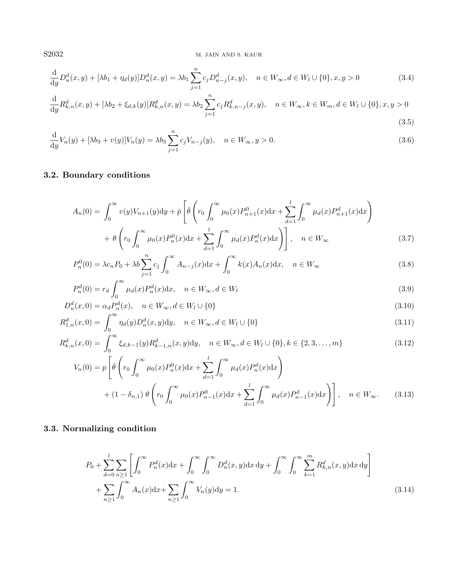S2032 M. JAIN AND S. KAUR

<span id="page-5-4"></span><span id="page-5-0"></span>
$$
\frac{d}{dy}D_n^d(x,y) + [\lambda b_1 + \eta_d(y)]D_n^d(x,y) = \lambda b_1 \sum_{j=1}^n c_j D_{n-j}^d(x,y), \quad n \in W_\infty, d \in W_l \cup \{0\}, x, y > 0 \tag{3.4}
$$

$$
\frac{\mathrm{d}}{\mathrm{d}y} R_{k,n}^d(x,y) + [\lambda b_2 + \xi_{d,k}(y)] R_{k,n}^d(x,y) = \lambda b_2 \sum_{j=1}^n c_j R_{k,n-j}^d(x,y), \quad n \in W_\infty, k \in W_m, d \in W_l \cup \{0\}, x, y > 0
$$
\n
$$
(3.5)
$$

$$
\frac{d}{dy}V_n(y) + [\lambda b_3 + v(y)]V_n(y) = \lambda b_3 \sum_{j=1}^n c_j V_{n-j}(y), \quad n \in W_\infty, y > 0.
$$
\n(3.6)

# 3.2. Boundary conditions

<span id="page-5-8"></span><span id="page-5-7"></span><span id="page-5-6"></span><span id="page-5-5"></span><span id="page-5-1"></span>
$$
A_n(0) = \int_0^\infty v(y)V_{n+1}(y)dy + \bar{p}\left[\bar{\theta}\left(r_0 \int_0^\infty \mu_0(x)P_{n+1}^0(x)dx + \sum_{d=1}^l \int_0^\infty \mu_d(x)P_{n+1}^d(x)dx\right) + \theta\left(r_0 \int_0^\infty \mu_0(x)P_n^0(x)dx + \sum_{d=1}^l \int_0^\infty \mu_d(x)P_n^d(x)dx\right)\right], \quad n \in W_\infty
$$
\n(3.7)

$$
P_n^0(0) = \lambda c_n P_0 + \lambda b \sum_{j=1}^n c_j \int_0^\infty A_{n-j}(x) dx + \int_0^\infty k(x) A_n(x) dx, \quad n \in W_\infty
$$
\n(3.8)

<span id="page-5-2"></span>
$$
P_n^d(0) = r_d \int_0^\infty \mu_d(x) P_n^d(x) dx, \quad n \in W_\infty, d \in W_l
$$
\n(3.9)

$$
D_n^d(x,0) = \alpha_d P_n^d(x), \quad n \in W_\infty, d \in W_l \cup \{0\}
$$
\n
$$
(3.10)
$$

$$
R_{1,n}^d(x,0) = \int_0^\infty \eta_d(y) D_n^d(x,y) dy, \quad n \in W_\infty, d \in W_l \cup \{0\}
$$
\n(3.11)

$$
R_{k,n}^d(x,0) = \int_0^\infty \xi_{d,k-1}(y) R_{k-1,n}^d(x,y) dy, \quad n \in W_\infty, d \in W_l \cup \{0\}, k \in \{2,3,\ldots,m\}
$$
(3.12)

$$
V_n(0) = p \left[ \bar{\theta} \left( r_0 \int_0^\infty \mu_0(x) P_n^0(x) dx + \sum_{d=1}^l \int_0^\infty \mu_d(x) P_n^d(x) dx \right) + (1 - \delta_{n,1}) \theta \left( r_0 \int_0^\infty \mu_0(x) P_{n-1}^0(x) dx + \sum_{d=1}^l \int_0^\infty \mu_d(x) P_{n-1}^d(x) dx \right) \right], \quad n \in W_\infty.
$$
 (3.13)

# 3.3. Normalizing condition

<span id="page-5-3"></span>
$$
P_0 + \sum_{d=0}^{l} \sum_{n\geq 1} \left[ \int_0^{\infty} P_n^d(x) dx + \int_0^{\infty} \int_0^{\infty} D_n^d(x, y) dx dy + \int_0^{\infty} \int_0^{\infty} \sum_{k=1}^m R_{k,n}^d(x, y) dx dy \right] + \sum_{n\geq 1} \int_0^{\infty} A_n(x) dx + \sum_{n\geq 1} \int_0^{\infty} V_n(y) dy = 1.
$$
 (3.14)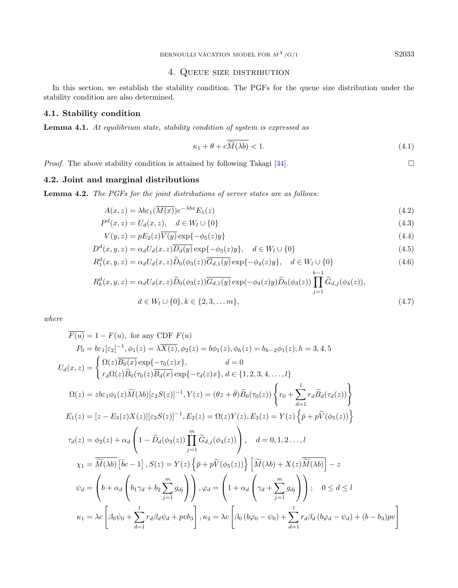# 4. Queue size distribution

<span id="page-6-0"></span>In this section, we establish the stability condition. The PGFs for the queue size distribution under the stability condition are also determined.

# 4.1. Stability condition

Lemma 4.1. At equilibrium state, stability condition of system is expressed as

<span id="page-6-6"></span><span id="page-6-5"></span><span id="page-6-4"></span><span id="page-6-2"></span><span id="page-6-1"></span>
$$
\kappa_1 + \theta + c\widetilde{\widetilde{M}(\lambda b)} < 1. \tag{4.1}
$$

*Proof.* The above stability condition is attained by following Takagi [\[34\]](#page-26-4).

# 4.2. Joint and marginal distributions

<span id="page-6-3"></span>Lemma 4.2. The PGFs for the joint distributions of server states are as follows:

$$
A(x,z) = \lambda b \varepsilon_1(\overline{M(x)}) e^{-\lambda bx} E_1(z)
$$
\n(4.2)

$$
P^{d}(x, z) = U_{d}(x, z), \quad d \in W_{l} \cup \{0\}
$$
\n
$$
(4.3)
$$

$$
V(y, z) = pE_2(z)V(y) \exp{-\phi_5(z)y}
$$
\n(4.4)

$$
D^{d}(x, y, z) = \alpha_{d} U_{d}(x, z) \overline{D_{d}(y)} \exp\{-\phi_{3}(z)y\}, \quad d \in W_{l} \cup \{0\}
$$
\n(4.5)

$$
R_1^d(x, y, z) = \alpha_d U_d(x, z) \widetilde{D}_0(\phi_3(z)) \overline{G_{d,1}(y)} \exp\{-\phi_4(z)y\}, \quad d \in W_l \cup \{0\}
$$
(4.6)

$$
R_k^d(x, y, z) = \alpha_d U_d(x, z) \widetilde{D}_0(\phi_3(z)) \overline{G_{d,1}(y)} \exp(-\phi_4(z)y) \widetilde{D}_0(\phi_3(z)) \prod_{j=1}^{k-1} \widetilde{G}_{d,j}(\phi_4(z)),
$$
  

$$
d \in W_l \cup \{0\}, k \in \{2, 3, ..., m\},
$$
 (4.7)

where

$$
\overline{F(u)} = 1 - F(u), \text{ for any CDF } F(u)
$$
\n
$$
P_0 = b\varepsilon_1[\varepsilon_2]^{-1}, \phi_1(z) = \lambda \overline{X(z)}, \phi_2(z) = b\phi_1(z), \phi_h(z) = b_{h-2}\phi_1(z); h = 3, 4, 5
$$
\n
$$
U_d(x, z) = \begin{cases} \Omega(z)\overline{B_0(x)} \exp\{-\tau_0(z)x\}, & d = 0\\ r_d\Omega(z)\overline{B_0}(\tau_0(z)\overline{B_d(x)} \exp\{-\tau_d(z)x\}, & d \in \{1, 2, 3, 4, \ldots, l\} \end{cases}
$$
\n
$$
\Omega(z) = z b \varepsilon_1 \phi_1(z) \widetilde{M}(\lambda b) [\varepsilon_2 S(z)]^{-1}, Y(z) = (\theta z + \overline{\theta}) \widetilde{B}_0(\tau_0(z)) \begin{cases} r_0 + \sum_{d=1}^l r_d \widetilde{B}_d(\tau_d(z)) \end{cases}
$$
\n
$$
E_1(z) = [z - E_3(z) X(z)][\varepsilon_2 S(z)]^{-1}, E_2(z) = \Omega(z) Y(z), E_3(z) = Y(z) \left\{ \overline{p} + p \widetilde{V}(\phi_5(z)) \right\}
$$
\n
$$
\tau_d(z) = \phi_2(z) + \alpha_d \left( 1 - \widetilde{D}_d(\phi_3(z)) \prod_{j=1}^m \widetilde{G}_{d,j}(\phi_4(z)) \right), & d = 0, 1, 2 \ldots, l
$$
\n
$$
\chi_1 = \overline{\widetilde{M}(\lambda b)} [\overline{b}c - 1], S(z) = Y(z) \left\{ \overline{p} + p \widetilde{V}(\phi_5(z)) \right\} \left[ \widetilde{M}(\lambda b) + X(z) \overline{\widetilde{M}(\lambda b)} \right] - z
$$
\n
$$
\psi_d = \begin{pmatrix} b + \alpha_d \left( b_1 \gamma_d + b_2 \sum_{j=1}^m g_{dj} \right) \end{pmatrix}, \varphi_d = \begin{pmatrix} 1 + \alpha_d \left( \gamma_d + \sum_{j=1}^m g_{dj} \right) \end{pmatrix}; & 0 \le d \le l
$$
\n
$$
\kappa
$$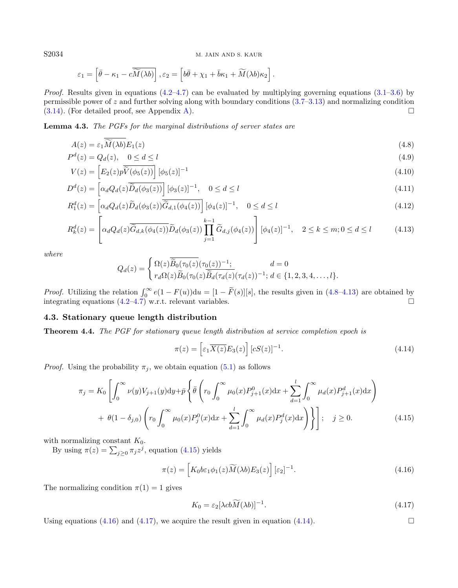S2034 M. JAIN AND S. KAUR

<span id="page-7-0"></span>
$$
\varepsilon_1 = \left[\bar{\theta} - \kappa_1 - c\widetilde{\widetilde{M}(\lambda b)}\right], \varepsilon_2 = \left[b\bar{\theta} + \chi_1 + \bar{b}\kappa_1 + \widetilde{M}(\lambda b)\kappa_2\right].
$$

*Proof.* Results given in equations  $(4.2-4.7)$  $(4.2-4.7)$  can be evaluated by multiplying governing equations  $(3.1-3.6)$  $(3.1-3.6)$  by permissible power of z and further solving along with boundary conditions [\(3.7](#page-5-1)[–3.13\)](#page-5-2) and normalizing condition  $(3.14)$ . (For detailed proof, see Appendix [A\)](#page-22-0).

Lemma 4.3. The PGFs for the marginal distributions of server states are

$$
A(z) = \varepsilon_1 \widetilde{M}(\lambda b) E_1(z)
$$
\n(4.8)

$$
P^d(z) = Q_d(z), \quad 0 \le d \le l \tag{4.9}
$$

$$
V(z) = \left[E_2(z)\overline{\widetilde{V}(\phi_5(z))}\right][\phi_5(z)]^{-1}
$$
\n(4.10)

$$
D^{d}(z) = \left[\alpha_d Q_d(z) \overline{\widetilde{D}_d(\phi_3(z))}\right] [\phi_3(z)]^{-1}, \quad 0 \le d \le l
$$
\n(4.11)

$$
R_1^d(z) = \left[ \alpha_d Q_d(z) \widetilde{D}_d(\phi_3(z)) \overline{\widetilde{G}_{d,1}(\phi_4(z))} \right] [\phi_4(z)]^{-1}, \quad 0 \le d \le l
$$
\n(4.12)

$$
R_k^d(z) = \left[ \alpha_d Q_d(z) \overline{\tilde{G}_{d,k}(\phi_4(z))} \tilde{D}_d(\phi_3(z)) \prod_{j=1}^{k-1} \tilde{G}_{d,j}(\phi_4(z)) \right] [\phi_4(z)]^{-1}, \quad 2 \le k \le m; 0 \le d \le l \tag{4.13}
$$

where

<span id="page-7-1"></span>
$$
Q_d(z) = \begin{cases} \Omega(z) \overline{\widetilde{B}_0(\tau_0(z)} (\tau_0(z))^{-1}; & d = 0 \\ r_d \Omega(z) \overline{\widetilde{B}_0} (\tau_0(z) \overline{\widetilde{B}_d(\tau_d(z)} (\tau_d(z))^{-1}; & d \in \{1, 2, 3, 4, \dots, l\}). \end{cases}
$$

*Proof.* Utilizing the relation  $\int_0^\infty e(1 - F(u))du = [1 - \tilde{F}(s)][s]$ , the results given in [\(4.8–](#page-7-0)[4.13\)](#page-7-1) are obtained by integrating equations [\(4.2–](#page-6-1)[4.7\)](#page-6-2) w.r.t. relevant variables.

#### 4.3. Stationary queue length distribution

Theorem 4.4. The PGF for stationary queue length distribution at service completion epoch is

<span id="page-7-5"></span><span id="page-7-4"></span><span id="page-7-3"></span><span id="page-7-2"></span>
$$
\pi(z) = \left[\varepsilon_1 \overline{X(z)} E_3(z)\right] [cS(z)]^{-1}.
$$
\n(4.14)

*Proof.* Using the probability  $\pi_j$ , we obtain equation [\(5.1\)](#page-8-1) as follows

$$
\pi_j = K_0 \left[ \int_0^\infty \nu(y) V_{j+1}(y) dy + \bar{p} \left\{ \bar{\theta} \left( r_0 \int_0^\infty \mu_0(x) P_{j+1}^0(x) dx + \sum_{d=1}^l \int_0^\infty \mu_d(x) P_{j+1}^d(x) dx \right) \right. \\ \left. + \theta (1 - \delta_{j,0}) \left( r_0 \int_0^\infty \mu_0(x) P_j^0(x) dx + \sum_{d=1}^l \int_0^\infty \mu_d(x) P_j^d(x) dx \right) \right\} \right]; \quad j \ge 0. \tag{4.15}
$$

with normalizing constant  $K_0$ .

By using  $\pi(z) = \sum_{j\geq 0} \pi_j z^j$ , equation [\(4.15\)](#page-7-2) yields

$$
\pi(z) = \left[K_0 b \varepsilon_1 \phi_1(z) \widetilde{M}(\lambda b) E_3(z)\right] [\varepsilon_2]^{-1}.
$$
\n(4.16)

The normalizing condition  $\pi(1) = 1$  gives

$$
K_0 = \varepsilon_2 [\lambda cb \widetilde{M}(\lambda b)]^{-1}.
$$
\n(4.17)

Using equations [\(4.16\)](#page-7-3) and [\(4.17\)](#page-7-4), we acquire the result given in equation [\(4.14\)](#page-7-5).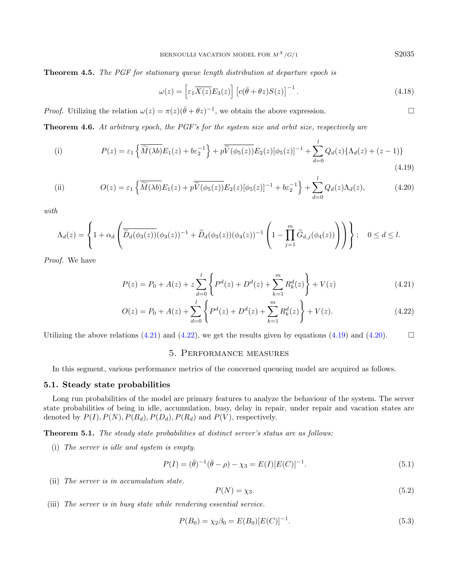Theorem 4.5. The PGF for stationary queue length distribution at departure epoch is

<span id="page-8-7"></span><span id="page-8-5"></span><span id="page-8-4"></span><span id="page-8-3"></span><span id="page-8-2"></span>
$$
\omega(z) = \left[\varepsilon_1 \overline{X(z)} E_3(z)\right] \left[c(\bar{\theta} + \theta z)S(z)\right]^{-1}.
$$
\n(4.18)

*Proof.* Utilizing the relation  $\omega(z) = \pi(z)(\bar{\theta} + \theta z)^{-1}$ , we obtain the above expression.

Theorem 4.6. At arbitrary epoch, the PGF's for the system size and orbit size, respectively are

(i) 
$$
P(z) = \varepsilon_1 \left\{ \overline{\widetilde{M}(\lambda b)} E_1(z) + b \varepsilon_2^{-1} \right\} + p \overline{\widetilde{V}(\phi_5(z))} E_2(z) [\phi_5(z)]^{-1} + \sum_{d=0}^l Q_d(z) \{ \Lambda_d(z) + (z-1) \}
$$
(4.19)

(ii) 
$$
O(z) = \varepsilon_1 \left\{ \overline{\widetilde{M}(\lambda b)} E_1(z) + p \overline{\widetilde{V}(\phi_5(z))} E_2(z) [\phi_5(z)]^{-1} + b \varepsilon_2^{-1} \right\} + \sum_{d=0}^l Q_d(z) \Lambda_d(z), \tag{4.20}
$$

with.

$$
\Lambda_d(z) = \left\{ 1 + \alpha_d \left( \overline{\widetilde{D}_d(\phi_3(z))}(\phi_3(z))^{-1} + \widetilde{D}_d(\phi_3(z))(\phi_4(z))^{-1} \left( 1 - \prod_{j=1}^m \widetilde{G}_{d,j}(\phi_4(z)) \right) \right) \right\}; \quad 0 \le d \le l.
$$

Proof. We have

$$
P(z) = P_0 + A(z) + z \sum_{d=0}^{l} \left\{ P^d(z) + D^d(z) + \sum_{k=1}^{m} R_k^d(z) \right\} + V(z)
$$
\n(4.21)

$$
O(z) = P_0 + A(z) + \sum_{d=0}^{l} \left\{ P^d(z) + D^d(z) + \sum_{k=1}^{m} R_k^d(z) \right\} + V(z).
$$
 (4.22)

<span id="page-8-0"></span>Utilizing the above relations [\(4.21\)](#page-8-2) and [\(4.22\)](#page-8-3), we get the results given by equations [\(4.19\)](#page-8-4) and [\(4.20\)](#page-8-5).

## <span id="page-8-6"></span><span id="page-8-1"></span>5. Performance measures

In this segment, various performance metrics of the concerned queueing model are acquired as follows.

### 5.1. Steady state probabilities

Long run probabilities of the model are primary features to analyze the behaviour of the system. The server state probabilities of being in idle, accumulation, busy, delay in repair, under repair and vacation states are denoted by  $P(I), P(N), P(B_d), P(D_d), P(R_d)$  and  $P(V)$ , respectively.

Theorem 5.1. The steady state probabilities at distinct server's status are as follows:

(i) The server is idle and system is empty.

$$
P(I) = (\bar{\theta})^{-1}(\bar{\theta} - \rho) - \chi_3 = E(I)[E(C)]^{-1}.
$$
\n(5.1)

(ii) The server is in accumulation state.

$$
P(N) = \chi_3. \tag{5.2}
$$

(iii) The server is in busy state while rendering essential service.

$$
P(B_0) = \chi_2 \beta_0 = E(B_0)[E(C)]^{-1}.
$$
\n(5.3)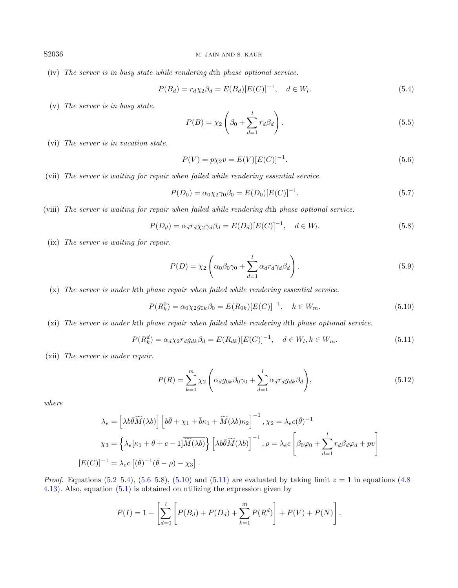(iv) The server is in busy state while rendering dth phase optional service.

<span id="page-9-5"></span><span id="page-9-1"></span>
$$
P(B_d) = r_d \chi_2 \beta_d = E(B_d) [E(C)]^{-1}, \quad d \in W_l.
$$
\n(5.4)

(v) The server is in busy state.

<span id="page-9-6"></span><span id="page-9-2"></span><span id="page-9-0"></span>
$$
P(B) = \chi_2 \left(\beta_0 + \sum_{d=1}^{l} r_d \beta_d\right). \tag{5.5}
$$

(vi) The server is in vacation state.

<span id="page-9-4"></span><span id="page-9-3"></span>
$$
P(V) = p\chi_2 v = E(V)[E(C)]^{-1}.
$$
\n(5.6)

(vii) The server is waiting for repair when failed while rendering essential service.

$$
P(D_0) = \alpha_0 \chi_2 \gamma_0 \beta_0 = E(D_0) [E(C)]^{-1}.
$$
\n(5.7)

(viii) The server is waiting for repair when failed while rendering dth phase optional service.

$$
P(D_d) = \alpha_d r_d \chi_2 \gamma_d \beta_d = E(D_d) [E(C)]^{-1}, \quad d \in W_l.
$$
\n
$$
(5.8)
$$

(ix) The server is waiting for repair.

<span id="page-9-7"></span>
$$
P(D) = \chi_2 \left( \alpha_0 \beta_0 \gamma_0 + \sum_{d=1}^l \alpha_d r_d \gamma_d \beta_d \right). \tag{5.9}
$$

(x) The server is under kth phase repair when failed while rendering essential service.

$$
P(R_k^0) = \alpha_0 \chi_2 g_{0k} \beta_0 = E(R_{0k}) [E(C)]^{-1}, \quad k \in W_m.
$$
\n(5.10)

(xi) The server is under kth phase repair when failed while rendering dth phase optional service.

$$
P(R_k^d) = \alpha_d \chi_2 r_d g_{dk} \beta_d = E(R_{dk}) [E(C)]^{-1}, \quad d \in W_l, k \in W_m.
$$
\n
$$
(5.11)
$$

(xii) The server is under repair.

$$
P(R) = \sum_{k=1}^{m} \chi_2 \left( \alpha_d g_{0k} \beta_0 \gamma_0 + \sum_{d=1}^{l} \alpha_d r_d g_{dk} \beta_d \right),
$$
\n(5.12)

where

$$
\lambda_e = \left[\lambda b \overline{\theta} \widetilde{M}(\lambda b)\right] \left[b \overline{\theta} + \chi_1 + \overline{b} \kappa_1 + \widetilde{M}(\lambda b) \kappa_2\right]^{-1}, \chi_2 = \lambda_e c(\overline{\theta})^{-1}
$$

$$
\chi_3 = \left\{\lambda_e[\kappa_1 + \theta + c - 1] \overline{\widetilde{M}(\lambda b)}\right\} \left[\lambda b \overline{\theta} \widetilde{M}(\lambda b)\right]^{-1}, \rho = \lambda_e c \left[\beta_0 \varphi_0 + \sum_{d=1}^l r_d \beta_d \varphi_d + pv\right]
$$

$$
[E(C)]^{-1} = \lambda_e c \left[(\overline{\theta})^{-1}(\overline{\theta} - \rho) - \chi_3\right].
$$

*Proof.* Equations [\(5.2–](#page-8-6)[5.4\)](#page-9-0), [\(5.6](#page-9-1)[–5.8\)](#page-9-2), [\(5.10\)](#page-9-3) and [\(5.11\)](#page-9-4) are evaluated by taking limit  $z = 1$  in equations [\(4.8–](#page-7-0) [4.13\)](#page-7-1). Also, equation [\(5.1\)](#page-8-1) is obtained on utilizing the expression given by

$$
P(I) = 1 - \left[ \sum_{d=0}^{l} \left[ P(B_d) + P(D_d) + \sum_{k=1}^{m} P(R^d) \right] + P(V) + P(N) \right].
$$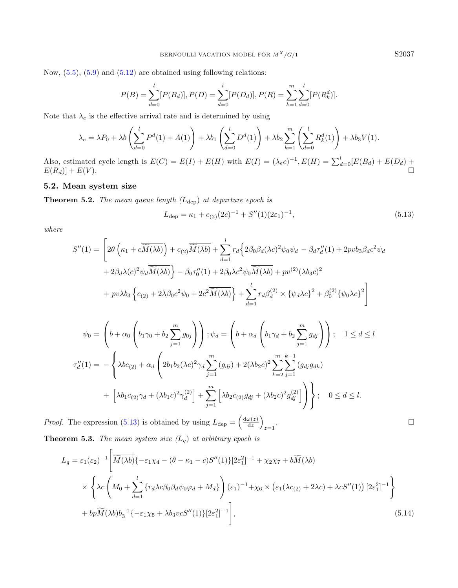Now,  $(5.5)$ ,  $(5.9)$  and  $(5.12)$  are obtained using following relations:

$$
P(B) = \sum_{d=0}^{l} [P(B_d)], P(D) = \sum_{d=0}^{l} [P(D_d)], P(R) = \sum_{k=1}^{m} \sum_{d=0}^{l} [P(R_k^d)].
$$

Note that  $\lambda_e$  is the effective arrival rate and is determined by using

$$
\lambda_e = \lambda P_0 + \lambda b \left( \sum_{d=0}^l P^d(1) + A(1) \right) + \lambda b_1 \left( \sum_{d=0}^l D^d(1) \right) + \lambda b_2 \sum_{k=1}^m \left( \sum_{d=0}^l R_k^d(1) \right) + \lambda b_3 V(1).
$$

Also, estimated cycle length is  $E(C) = E(I) + E(H)$  with  $E(I) = (\lambda_e c)^{-1}$ ,  $E(H) = \sum_{d=0}^{l} [E(B_d) + E(D_d) + E(D_d)]$  $E(R_d)] + E(V).$ 

# 5.2. Mean system size

**Theorem 5.2.** The mean queue length  $(L_{\text{dep}})$  at departure epoch is

$$
L_{\rm dep} = \kappa_1 + c_{(2)}(2c)^{-1} + S''(1)(2\varepsilon_1)^{-1},\tag{5.13}
$$

.

where

$$
S''(1) = \left[2\theta\left(\kappa_1 + c\overline{\widetilde{M}(\lambda b)}\right) + c_{(2)}\overline{\widetilde{M}(\lambda b)} + \sum_{d=1}^l r_d \left\{2\beta_0\beta_d(\lambda c)^2\psi_0\psi_d - \beta_d\tau_d''(1) + 2pvb_3\beta_d c^2\psi_d\right.\right.+ 2\beta_d\lambda(c)^2\psi_d\overline{\widetilde{M}(\lambda b)}\right\} - \beta_0\tau_0''(1) + 2\beta_0\lambda c^2\psi_0\overline{\widetilde{M}(\lambda b)} + pv^{(2)}(\lambda b_3 c)^2+ pv\lambda b_3\left\{c_{(2)} + 2\lambda\beta_0 c^2\psi_0 + 2c^2\overline{\widetilde{M}(\lambda b)}\right\} + \sum_{d=1}^l r_d\beta_d^{(2)} \times \{\psi_d\lambda c\}^2 + \beta_0^{(2)}\{\psi_0\lambda c\}^2\right]
$$

$$
\psi_0 = \left(b + \alpha_0 \left(b_1 \gamma_0 + b_2 \sum_{j=1}^m g_{0j}\right)\right); \psi_d = \left(b + \alpha_d \left(b_1 \gamma_d + b_2 \sum_{j=1}^m g_{dj}\right)\right); \quad 1 \le d \le l
$$
  

$$
\tau''_d(1) = -\left\{\lambda bc_{(2)} + \alpha_d \left(2b_1b_2(\lambda c)^2 \gamma_d \sum_{j=1}^m (g_{dj}) + 2(\lambda b_2 c)^2 \sum_{k=2}^m \sum_{j=1}^{k-1} (g_{dj}g_{dk}) + \left[\lambda b_1c_{(2)}\gamma_d + (\lambda b_1 c)^2 \gamma_d^{(2)}\right] + \sum_{j=1}^m \left[\lambda b_2c_{(2)}g_{dj} + (\lambda b_2 c)^2 g_{dj}^{(2)}\right]\right)\right\}; \quad 0 \le d \le l.
$$

*Proof.* The expression [\(5.13\)](#page-10-0) is obtained by using  $L_{\text{dep}} = \frac{d\omega(z)}{dz}$  $\frac{\omega(z)}{\mathrm{d}z}\bigg)$  $z=1$ **Theorem 5.3.** The mean system size  $(L_q)$  at arbitrary epoch is

$$
L_q = \varepsilon_1(\varepsilon_2)^{-1} \left[ \overline{\widetilde{M}(\lambda b)} \{-\varepsilon_1 \chi_4 - (\overline{\theta} - \kappa_1 - c)S''(1)\} [2\varepsilon_1^2]^{-1} + \chi_2 \chi_7 + b \widetilde{M}(\lambda b) \right]
$$
  
 
$$
\times \left\{ \lambda c \left( M_0 + \sum_{d=1}^l \{ r_d \lambda c \beta_0 \beta_d \psi_0 \varphi_d + M_d \} \right) (\varepsilon_1)^{-1} + \chi_6 \times (\varepsilon_1 (\lambda c_{(2)} + 2\lambda c) + \lambda c S''(1)) [2\varepsilon_1^2]^{-1} \right\}
$$
  
+ 
$$
bp \widetilde{M}(\lambda b) b_3^{-1} \{-\varepsilon_1 \chi_5 + \lambda b_3 \nu c S''(1) \} [2\varepsilon_1^2]^{-1} \right],
$$
 (5.14)

<span id="page-10-0"></span>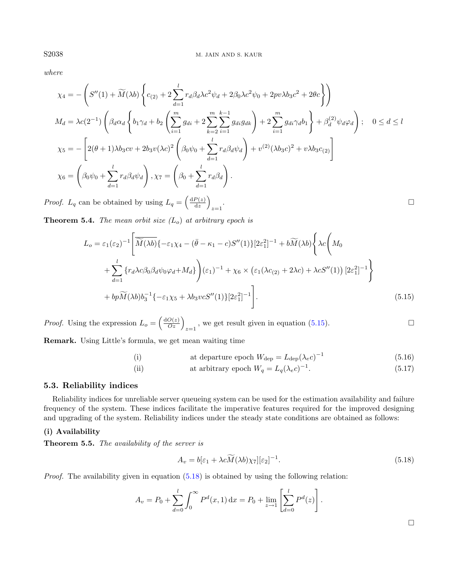$$
where
$$

$$
\chi_4 = -\left(S''(1) + \widetilde{M}(\lambda b) \left\{c_{(2)} + 2\sum_{d=1}^l r_d \beta_d \lambda c^2 \psi_d + 2\beta_0 \lambda c^2 \psi_0 + 2pv \lambda b_3 c^2 + 2\theta c \right\}\right)
$$
  
\n
$$
M_d = \lambda c(2^{-1}) \left(\beta_d \alpha_d \left\{b_1 \gamma_d + b_2 \left(\sum_{i=1}^m g_{di} + 2 \sum_{k=2}^m \sum_{i=1}^{k-1} g_{di} g_{dk}\right) + 2 \sum_{i=1}^m g_{di} \gamma_d b_1 \right\} + \beta_d^{(2)} \psi_d \varphi_d\right); \quad 0 \le d \le l
$$
  
\n
$$
\chi_5 = -\left[2(\theta + 1)\lambda b_3 c v + 2b_3 v (\lambda c)^2 \left(\beta_0 \psi_0 + \sum_{d=1}^l r_d \beta_d \psi_d\right) + v^{(2)}(\lambda b_3 c)^2 + v \lambda b_3 c_{(2)}\right]
$$
  
\n
$$
\chi_6 = \left(\beta_0 \psi_0 + \sum_{d=1}^l r_d \beta_d \psi_d\right), \chi_7 = \left(\beta_0 + \sum_{d=1}^l r_d \beta_d\right).
$$
  
\n
$$
\text{logf. } L_q \text{ can be obtained by using } L_q = \left(\frac{dP(z)}{dz}\right)
$$

*Proof.*  $L_q$  can be obtained by using  $L_q = \left(\frac{dP(z)}{dz}\right)^{1/2}$  $rac{P(z)}{\mathrm{d}z}$  $z=1$ 

**Theorem 5.4.** The mean orbit size  $(L_0)$  at arbitrary epoch is

$$
L_o = \varepsilon_1(\varepsilon_2)^{-1} \left[ \overline{\widetilde{M}(\lambda b)} \{-\varepsilon_1 \chi_4 - (\overline{\theta} - \kappa_1 - c)S''(1)\} [2\varepsilon_1^2]^{-1} + b\widetilde{M}(\lambda b) \left\{ \lambda c \left( M_0 \right) \right\}
$$
  
+ 
$$
\sum_{d=1}^l \{r_d \lambda c \beta_0 \beta_d \psi_0 \varphi_d + M_d \} \left( \varepsilon_1 \right)^{-1} + \chi_6 \times \left( \varepsilon_1 (\lambda c_{(2)} + 2\lambda c) + \lambda c S''(1) \right) [2\varepsilon_1^2]^{-1} \right\}
$$
  
+ 
$$
bp\widetilde{M}(\lambda b) b_3^{-1} \{-\varepsilon_1 \chi_5 + \lambda b_3 v c S''(1) \} [2\varepsilon_1^2]^{-1} \right].
$$
 (5.15)

*Proof.* Using the expression  $L_o = \left(\frac{dO(z)}{Oz}\right)_{z=1}$ , we get result given in equation [\(5.15\)](#page-11-0).

Remark. Using Little's formula, we get mean waiting time

<span id="page-11-1"></span>(i) at departure epoch  $W_{\text{dep}} = L_{\text{dep}}(\lambda_e c)^{-1}$ (5.16)

(ii) at arbitrary epoch 
$$
W_q = L_q(\lambda_e c)^{-1}
$$
. (5.17)

### 5.3. Reliability indices

Reliability indices for unreliable server queueing system can be used for the estimation availability and failure frequency of the system. These indices facilitate the imperative features required for the improved designing and upgrading of the system. Reliability indices under the steady state conditions are obtained as follows:

# (i) Availability

Theorem 5.5. The availability of the server is

$$
A_v = b[\varepsilon_1 + \lambda c \widetilde{M}(\lambda b)\chi_7][\varepsilon_2]^{-1}.
$$
\n(5.18)

*Proof.* The availability given in equation  $(5.18)$  is obtained by using the following relation:

$$
A_v = P_0 + \sum_{d=0}^{l} \int_0^{\infty} P^d(x, 1) dx = P_0 + \lim_{z \to 1} \left[ \sum_{d=0}^{l} P^d(z) \right].
$$

<span id="page-11-0"></span>

 $\Box$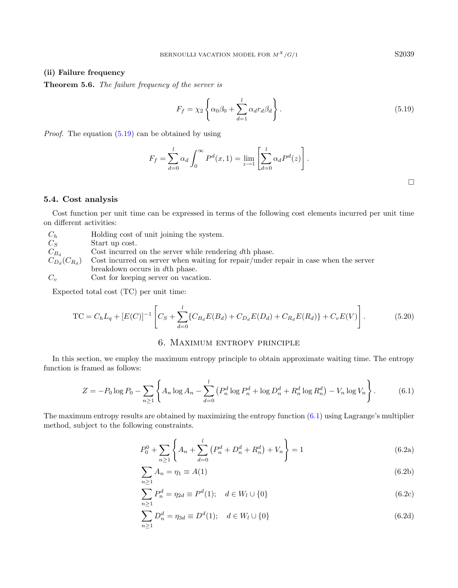# (ii) Failure frequency

Theorem 5.6. The failure frequency of the server is

<span id="page-12-1"></span>
$$
F_f = \chi_2 \left\{ \alpha_0 \beta_0 + \sum_{d=1}^l \alpha_d r_d \beta_d \right\}.
$$
\n(5.19)

Proof. The equation [\(5.19\)](#page-12-1) can be obtained by using

$$
F_f = \sum_{d=0}^{l} \alpha_d \int_0^{\infty} P^d(x, 1) = \lim_{z \to 1} \left[ \sum_{d=0}^{l} \alpha_d P^d(z) \right].
$$

#### 5.4. Cost analysis

Cost function per unit time can be expressed in terms of the following cost elements incurred per unit time on different activities:

| $C_h$              | Holding cost of unit joining the system.                                             |
|--------------------|--------------------------------------------------------------------------------------|
| $C_S$              | Start up cost.                                                                       |
| $C_{B_d}$          | Cost incurred on the server while rendering $d$ th phase.                            |
| $C_{D_d}(C_{R_d})$ | Cost incurred on server when waiting for repair/under repair in case when the server |
|                    | breakdown occurs in dth phase.                                                       |
| $C_{\nu}$          | Cost for keeping server on vacation.                                                 |

Expected total cost (TC) per unit time:

$$
TC = C_h L_q + [E(C)]^{-1} \left[ C_S + \sum_{d=0}^{l} \{ C_{B_d} E(B_d) + C_{D_d} E(D_d) + C_{R_d} E(R_d) \} + C_v E(V) \right].
$$
 (5.20)

# <span id="page-12-4"></span><span id="page-12-3"></span><span id="page-12-2"></span>6. Maximum entropy principle

<span id="page-12-0"></span>In this section, we employ the maximum entropy principle to obtain approximate waiting time. The entropy function is framed as follows:

$$
Z = -P_0 \log P_0 - \sum_{n \ge 1} \left\{ A_n \log A_n - \sum_{d=0}^l \left( P_n^d \log P_n^d + \log D_n^d + R_n^d \log R_n^d \right) - V_n \log V_n \right\}.
$$
 (6.1)

The maximum entropy results are obtained by maximizing the entropy function [\(6.1\)](#page-12-2) using Lagrange's multiplier method, subject to the following constraints.

$$
P_0^0 + \sum_{n\geq 1} \left\{ A_n + \sum_{d=0}^l \left( P_n^d + D_n^d + R_n^d \right) + V_n \right\} = 1 \tag{6.2a}
$$

$$
\sum_{n\geq 1} A_n = \eta_1 \equiv A(1) \tag{6.2b}
$$

$$
\sum_{n\geq 1} P_n^d = \eta_{2d} \equiv P^d(1); \quad d \in W_l \cup \{0\}
$$
\n(6.2c)

$$
\sum_{n\geq 1} D_n^d = \eta_{3d} \equiv D^d(1); \quad d \in W_l \cup \{0\}
$$
\n(6.2d)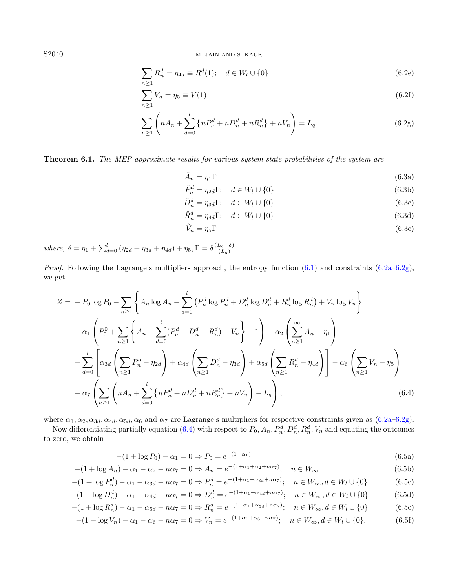<span id="page-13-2"></span><span id="page-13-1"></span><span id="page-13-0"></span>
$$
\sum_{n\geq 1} R_n^d = \eta_{4d} \equiv R^d(1); \quad d \in W_l \cup \{0\}
$$
\n(6.2e)

$$
\sum_{n\geq 1} V_n = \eta_5 \equiv V(1) \tag{6.2f}
$$

$$
\sum_{n\geq 1} \left( nA_n + \sum_{d=0}^{l} \left\{ nP_n^d + nD_n^d + nR_n^d \right\} + nV_n \right) = L_q.
$$
 (6.2g)

Theorem 6.1. The MEP approximate results for various system state probabilities of the system are

$$
\hat{A}_n = \eta_1 \Gamma \tag{6.3a}
$$

$$
\hat{P}_n^d = \eta_{2d} \Gamma; \quad d \in W_l \cup \{0\} \tag{6.3b}
$$

$$
\hat{D}_n^d = \eta_{3d} \Gamma; \quad d \in W_l \cup \{0\} \tag{6.3c}
$$

$$
\hat{R}_n^d = \eta_{4d} \Gamma; \quad d \in W_l \cup \{0\} \tag{6.3d}
$$

$$
\hat{V}_n = \eta_5 \Gamma \tag{6.3e}
$$

where,  $\delta = \eta_1 + \sum_{d=0}^{l} (\eta_{2d} + \eta_{3d} + \eta_{4d}) + \eta_5, \Gamma = \delta \frac{(L_q - \delta)}{(L_q)}$  $\frac{L_q - o_j}{(L_q)}$ .

Proof. Following the Lagrange's multipliers approach, the entropy function [\(6.1\)](#page-12-2) and constraints [\(6.2a–](#page-12-2)[6.2g\)](#page-13-0), we get

$$
Z = -P_0 \log P_0 - \sum_{n\geq 1} \left\{ A_n \log A_n + \sum_{d=0}^l \left( P_n^d \log P_n^d + D_n^d \log D_n^d + R_n^d \log R_n^d \right) + V_n \log V_n \right\}
$$
  

$$
- \alpha_1 \left( P_0^0 + \sum_{n\geq 1} \left\{ A_n + \sum_{d=0}^l \left( P_n^d + D_n^d + R_n^d \right) + V_n \right\} - 1 \right) - \alpha_2 \left( \sum_{n\geq 1}^{\infty} A_n - \eta_1 \right)
$$
  

$$
- \sum_{d=0}^l \left[ \alpha_{3d} \left( \sum_{n\geq 1} P_n^d - \eta_{2d} \right) + \alpha_{4d} \left( \sum_{n\geq 1} D_n^d - \eta_{3d} \right) + \alpha_{5d} \left( \sum_{n\geq 1} R_n^d - \eta_{4d} \right) \right] - \alpha_6 \left( \sum_{n\geq 1} V_n - \eta_5 \right)
$$
  

$$
- \alpha_7 \left( \sum_{n\geq 1} \left( n A_n + \sum_{d=0}^l \left\{ n P_n^d + n D_n^d + n R_n^d \right\} + n V_n \right) - L_q \right), \tag{6.4}
$$

where  $\alpha_1, \alpha_2, \alpha_{3d}, \alpha_{4d}, \alpha_{5d}, \alpha_6$  and  $\alpha_7$  are Lagrange's multipliers for respective constraints given as  $(6.2a-6.2g)$  $(6.2a-6.2g)$ .

Now differentiating partially equation [\(6.4\)](#page-12-3) with respect to  $P_0$ ,  $A_n$ ,  $P_n^d$ ,  $D_n^d$ ,  $R_n^d$ ,  $V_n$  and equating the outcomes to zero, we obtain

$$
-(1 + \log P_0) - \alpha_1 = 0 \Rightarrow P_0 = e^{-(1 + \alpha_1)}
$$
\n(6.5a)

$$
-(1+\log A_n) - \alpha_1 - \alpha_2 - n\alpha_7 = 0 \Rightarrow A_n = e^{-(1+\alpha_1+\alpha_2+n\alpha_7)}; \quad n \in W_{\infty}
$$
\n
$$
(6.5b)
$$

$$
-(1 + \log P_n^d) - \alpha_1 - \alpha_{3d} - n\alpha_7 = 0 \Rightarrow P_n^d = e^{-(1 + \alpha_1 + \alpha_{3d} + n\alpha_7)}; \quad n \in W_\infty, d \in W_l \cup \{0\}
$$
(6.5c)

$$
-(1+\log D_n^d) - \alpha_1 - \alpha_{4d} - n\alpha_7 = 0 \Rightarrow D_n^d = e^{-(1+\alpha_1+\alpha_{4d}+n\alpha_7)}; \quad n \in W_\infty, d \in W_l \cup \{0\} \tag{6.5d}
$$

$$
-(1+\log R_n^d) - \alpha_1 - \alpha_{5d} - n\alpha_7 = 0 \Rightarrow R_n^d = e^{-(1+\alpha_1+\alpha_{5d}+n\alpha_7)}; \quad n \in W_\infty, d \in W_l \cup \{0\} \tag{6.5e}
$$

$$
-(1+\log V_n)-\alpha_1-\alpha_6-n\alpha_7=0 \Rightarrow V_n=e^{-(1+\alpha_1+\alpha_6+n\alpha_7)};\quad n\in W_{\infty}, d\in W_l\cup\{0\}.
$$
 (6.5f)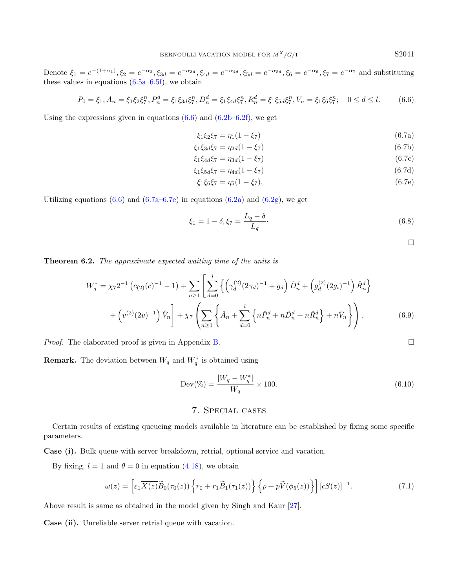Denote  $\xi_1 = e^{-(1+\alpha_1)}, \xi_2 = e^{-\alpha_2}, \xi_{3d} = e^{-\alpha_{3d}}, \xi_{4d} = e^{-\alpha_{4d}}, \xi_{5d} = e^{-\alpha_{5d}}, \xi_6 = e^{-\alpha_6}, \xi_7 = e^{-\alpha_7}$  and substituting these values in equations  $(6.5a-6.5f)$  $(6.5a-6.5f)$ , we obtain

$$
P_0 = \xi_1, A_n = \xi_1 \xi_2 \xi_7^n, P_n^d = \xi_1 \xi_3 d\xi_7^n, D_n^d = \xi_1 \xi_4 d\xi_7^n, R_n^d = \xi_1 \xi_5 d\xi_7^n, V_n = \xi_1 \xi_6 \xi_7^n; \quad 0 \le d \le l. \tag{6.6}
$$

Using the expressions given in equations  $(6.6)$  and  $(6.2b-6.2f)$ , we get

$$
\xi_1 \xi_2 \xi_7 = \eta_1 (1 - \xi_7) \tag{6.7a}
$$

$$
\xi_1 \xi_3 d\xi_7 = \eta_{2d} (1 - \xi_7) \tag{6.7b}
$$

$$
\xi_1 \xi_{4d} \xi_7 = \eta_{3d} (1 - \xi_7) \tag{6.7c}
$$

$$
\xi_1 \xi_5 d\xi_7 = \eta_{4d} (1 - \xi_7) \tag{6.7d}
$$

$$
\xi_1 \xi_6 \xi_7 = \eta_5 (1 - \xi_7). \tag{6.7e}
$$

Utilizing equations  $(6.6)$  and  $(6.7a-6.7e)$  $(6.7a-6.7e)$  in equations  $(6.2a)$  and  $(6.2g)$ , we get

$$
\xi_1 = 1 - \delta, \xi_7 = \frac{L_q - \delta}{L_q}.\tag{6.8}
$$

<span id="page-14-2"></span> $\Box$ 

<span id="page-14-1"></span>Theorem 6.2. The approximate expected waiting time of the units is

$$
W_q^* = \chi_7 2^{-1} \left( c_{(2)}(c)^{-1} - 1 \right) + \sum_{n \ge 1} \left[ \sum_{d=0}^l \left\{ \left( \gamma_d^{(2)}(2\gamma_d)^{-1} + g_d \right) \hat{D}_n^d + \left( g_d^{(2)}(2g_i)^{-1} \right) \hat{R}_n^d \right\} + \left( v^{(2)}(2v)^{-1} \right) \hat{V}_n \right] + \chi_7 \left( \sum_{n \ge 1} \left\{ \hat{A}_n + \sum_{d=0}^l \left\{ n \hat{P}_n^d + n \hat{D}_n^d + n \hat{R}_n^d \right\} + n \hat{V}_n \right\} \right). \tag{6.9}
$$

*Proof.* The elaborated proof is given in Appendix [B.](#page-23-0)

**Remark.** The deviation between  $W_q$  and  $W_q^*$  is obtained using

$$
Dev(\% ) = \frac{|W_q - W_q^*|}{W_q} \times 100.
$$
\n(6.10)

#### 7. Special cases

<span id="page-14-0"></span>Certain results of existing queueing models available in literature can be established by fixing some specific parameters.

Case (i). Bulk queue with server breakdown, retrial, optional service and vacation.

By fixing,  $l = 1$  and  $\theta = 0$  in equation [\(4.18\)](#page-8-7), we obtain

$$
\omega(z) = \left[\varepsilon_1 \overline{X(z)} \widetilde{B}_0(\tau_0(z)) \left\{ r_0 + r_1 \widetilde{B}_1(\tau_1(z)) \right\} \left\{ \overline{p} + p \widetilde{V}(\phi_5(z)) \right\} \right] [cS(z)]^{-1}.
$$
\n(7.1)

Above result is same as obtained in the model given by Singh and Kaur [\[27\]](#page-25-31).

Case (ii). Unreliable server retrial queue with vacation.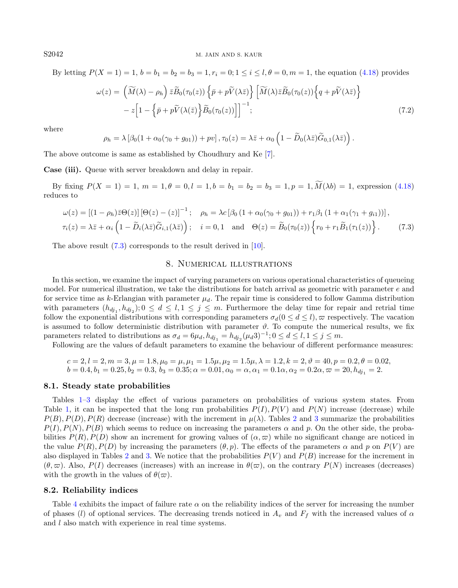By letting  $P(X = 1) = 1, b = b_1 = b_2 = b_3 = 1, r_i = 0; 1 \le i \le l, \theta = 0, m = 1$ , the equation [\(4.18\)](#page-8-7) provides

$$
\omega(z) = \left(\widetilde{M}(\lambda) - \rho_h\right) \bar{z}\widetilde{B}_0(\tau_0(z)) \left\{\bar{p} + p\widetilde{V}(\lambda\bar{z})\right\} \left[\widetilde{M}(\lambda)\bar{z}\widetilde{B}_0(\tau_0(z))\right\} \left\{q + p\widetilde{V}(\lambda\bar{z})\right\}
$$

$$
- z \left[1 - \left\{\bar{p} + p\widetilde{V}(\lambda(\bar{z}))\right\}\widetilde{B}_0(\tau_0(z))\right] \right]^{-1};
$$
(7.2)

where

$$
\rho_h = \lambda \left[ \beta_0 (1 + \alpha_0 (\gamma_0 + g_{01})) + p v \right], \tau_0(z) = \lambda \bar{z} + \alpha_0 \left( 1 - \widetilde{D}_0(\lambda \bar{z}) \widetilde{G}_{0,1}(\lambda \bar{z}) \right).
$$

The above outcome is same as established by Choudhury and Ke [\[7\]](#page-25-0).

Case (iii). Queue with server breakdown and delay in repair.

By fixing  $P(X = 1) = 1, m = 1, \theta = 0, l = 1, b = b_1 = b_2 = b_3 = 1, p = 1, \widetilde{M}(\lambda b) = 1$ , expression [\(4.18\)](#page-8-7) reduces to

$$
\omega(z) = \left[ (1 - \rho_h) \bar{z} \Theta(z) \right] \left[ \Theta(z) - (z) \right]^{-1}; \quad \rho_h = \lambda c \left[ \beta_0 \left( 1 + \alpha_0 (\gamma_0 + g_{01}) \right) + r_1 \beta_1 \left( 1 + \alpha_1 (\gamma_1 + g_{i1}) \right) \right],
$$
  

$$
\tau_i(z) = \lambda \bar{z} + \alpha_i \left( 1 - \widetilde{D}_i(\lambda \bar{z}) \widetilde{G}_{i,1}(\lambda \bar{z}) \right); \quad i = 0, 1 \quad \text{and} \quad \Theta(z) = \widetilde{B}_0(\tau_0(z)) \left\{ r_0 + r_1 \widetilde{B}_1(\tau_1(z)) \right\}.
$$
 (7.3)

<span id="page-15-0"></span>The above result  $(7.3)$  corresponds to the result derived in [\[10\]](#page-25-32).

#### <span id="page-15-1"></span>8. Numerical illustrations

In this section, we examine the impact of varying parameters on various operational characteristics of queueing model. For numerical illustration, we take the distributions for batch arrival as geometric with parameter e and for service time as k-Erlangian with parameter  $\mu_d$ . The repair time is considered to follow Gamma distribution with parameters  $(h_{dj_1}, h_{dj_2})$ ;  $0 \le d \le l, 1 \le j \le m$ . Furthermore the delay time for repair and retrial time follow the exponential distributions with corresponding parameters  $\sigma_d(0 \leq d \leq l)$ ,  $\varpi$  respectively. The vacation is assumed to follow deterministic distribution with parameter  $\vartheta$ . To compute the numerical results, we fix parameters related to distributions as  $\sigma_d = 6\mu_d$ ,  $h_{dj_1} = h_{dj_2}(\mu_d 3)^{-1}$ ;  $0 \le d \le l$ ,  $1 \le j \le m$ .

Following are the values of default parameters to examine the behaviour of different performance measures:

$$
c = 2, l = 2, m = 3, \mu = 1.8, \mu_0 = \mu, \mu_1 = 1.5\mu, \mu_2 = 1.5\mu, \lambda = 1.2, k = 2, \vartheta = 40, p = 0.2, \theta = 0.02, b = 0.4, b_1 = 0.25, b_2 = 0.3, b_3 = 0.35; \alpha = 0.01, \alpha_0 = \alpha, \alpha_1 = 0.1\alpha, \alpha_2 = 0.2\alpha, \varpi = 20, h_{dj_1} = 2.
$$

#### 8.1. Steady state probabilities

Tables [1](#page-16-0)[–3](#page-16-1) display the effect of various parameters on probabilities of various system states. From Table [1,](#page-16-0) it can be inspected that the long run probabilities  $P(I), P(V)$  and  $P(N)$  increase (decrease) while  $P(B), P(D), P(R)$  decrease (increase) with the increment in  $\mu(\lambda)$ . Tables [2](#page-16-2) and [3](#page-16-1) summarize the probabilities  $P(I), P(N), P(B)$  which seems to reduce on increasing the parameters  $\alpha$  and p. On the other side, the probabilities  $P(R)$ ,  $P(D)$  show an increment for growing values of  $(\alpha, \varpi)$  while no significant change are noticed in the value  $P(R)$ ,  $P(D)$  by increasing the parameters  $(\theta, p)$ . The effects of the parameters  $\alpha$  and p on  $P(V)$  are also displayed in Tables [2](#page-16-2) and [3.](#page-16-1) We notice that the probabilities  $P(V)$  and  $P(B)$  increase for the increment in  $(\theta, \varpi)$ . Also,  $P(I)$  decreases (increases) with an increase in  $\theta(\varpi)$ , on the contrary  $P(N)$  increases (decreases) with the growth in the values of  $\theta(\varpi)$ .

#### 8.2. Reliability indices

Table [4](#page-17-0) exhibits the impact of failure rate  $\alpha$  on the reliability indices of the server for increasing the number of phases (l) of optional services. The decreasing trends noticed in  $A_v$  and  $F_f$  with the increased values of  $\alpha$ and l also match with experience in real time systems.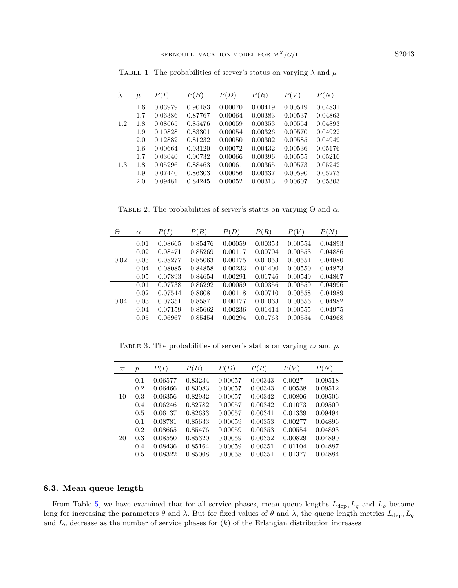<span id="page-16-2"></span>

| $\lambda$ | $\mu$ | P(I)    | P(B)    | P(D)    | P(R)    | P(V)    | P(N)    |
|-----------|-------|---------|---------|---------|---------|---------|---------|
|           | 1.6   | 0.03979 | 0.90183 | 0.00070 | 0.00419 | 0.00519 | 0.04831 |
|           | 1.7   | 0.06386 | 0.87767 | 0.00064 | 0.00383 | 0.00537 | 0.04863 |
| 1.2       | 1.8   | 0.08665 | 0.85476 | 0.00059 | 0.00353 | 0.00554 | 0.04893 |
|           | 1.9   | 0.10828 | 0.83301 | 0.00054 | 0.00326 | 0.00570 | 0.04922 |
|           | 2.0   | 0.12882 | 0.81232 | 0.00050 | 0.00302 | 0.00585 | 0.04949 |
|           | 1.6   | 0.00664 | 0.93120 | 0.00072 | 0.00432 | 0.00536 | 0.05176 |
|           | 1.7   | 0.03040 | 0.90732 | 0.00066 | 0.00396 | 0.00555 | 0.05210 |
| 1.3       | 1.8   | 0.05296 | 0.88463 | 0.00061 | 0.00365 | 0.00573 | 0.05242 |
|           | 1.9   | 0.07440 | 0.86303 | 0.00056 | 0.00337 | 0.00590 | 0.05273 |
|           | 2.0   | 0.09481 | 0.84245 | 0.00052 | 0.00313 | 0.00607 | 0.05303 |

<span id="page-16-0"></span>TABLE 1. The probabilities of server's status on varying  $\lambda$  and  $\mu$ .

TABLE 2. The probabilities of server's status on varying  $\Theta$  and  $\alpha$ .

<span id="page-16-1"></span>

| Θ    | $\alpha$ | P(I)    | P(B)    | P(D)    | P(R)    | P(V)    | P(N)    |
|------|----------|---------|---------|---------|---------|---------|---------|
|      | 0.01     | 0.08665 | 0.85476 | 0.00059 | 0.00353 | 0.00554 | 0.04893 |
|      | 0.02     | 0.08471 | 0.85269 | 0.00117 | 0.00704 | 0.00553 | 0.04886 |
| 0.02 | 0.03     | 0.08277 | 0.85063 | 0.00175 | 0.01053 | 0.00551 | 0.04880 |
|      | 0.04     | 0.08085 | 0.84858 | 0.00233 | 0.01400 | 0.00550 | 0.04873 |
|      | 0.05     | 0.07893 | 0.84654 | 0.00291 | 0.01746 | 0.00549 | 0.04867 |
|      | 0.01     | 0.07738 | 0.86292 | 0.00059 | 0.00356 | 0.00559 | 0.04996 |
|      | 0.02     | 0.07544 | 0.86081 | 0.00118 | 0.00710 | 0.00558 | 0.04989 |
| 0.04 | 0.03     | 0.07351 | 0.85871 | 0.00177 | 0.01063 | 0.00556 | 0.04982 |
|      | 0.04     | 0.07159 | 0.85662 | 0.00236 | 0.01414 | 0.00555 | 0.04975 |
|      | 0.05     | 0.06967 | 0.85454 | 0.00294 | 0.01763 | 0.00554 | 0.04968 |

TABLE 3. The probabilities of server's status on varying  $\varpi$  and p.

| $\varpi$ | $\boldsymbol{p}$ | P(I)    | $\vert B \rangle$ | P(D)    | P(R)    | P(V)    | P(N)    |
|----------|------------------|---------|-------------------|---------|---------|---------|---------|
|          | 0.1              | 0.06577 | 0.83234           | 0.00057 | 0.00343 | 0.0027  | 0.09518 |
|          | 0.2              | 0.06466 | 0.83083           | 0.00057 | 0.00343 | 0.00538 | 0.09512 |
| 10       | 0.3              | 0.06356 | 0.82932           | 0.00057 | 0.00342 | 0.00806 | 0.09506 |
|          | 0.4              | 0.06246 | 0.82782           | 0.00057 | 0.00342 | 0.01073 | 0.09500 |
|          | 0.5              | 0.06137 | 0.82633           | 0.00057 | 0.00341 | 0.01339 | 0.09494 |
|          | 0.1              | 0.08781 | 0.85633           | 0.00059 | 0.00353 | 0.00277 | 0.04896 |
|          | 0.2              | 0.08665 | 0.85476           | 0.00059 | 0.00353 | 0.00554 | 0.04893 |
| 20       | 0.3              | 0.08550 | 0.85320           | 0.00059 | 0.00352 | 0.00829 | 0.04890 |
|          | 0.4              | 0.08436 | 0.85164           | 0.00059 | 0.00351 | 0.01104 | 0.04887 |
|          | 0.5              | 0.08322 | 0.85008           | 0.00058 | 0.00351 | 0.01377 | 0.04884 |

#### 8.3. Mean queue length

From Table [5,](#page-17-1) we have examined that for all service phases, mean queue lengths  $L_{\text{dep}}$ ,  $L_q$  and  $L_o$  become long for increasing the parameters  $\theta$  and  $\lambda$ . But for fixed values of  $\theta$  and  $\lambda$ , the queue length metrics  $L_{\text{dep}}$ ,  $L_q$ and  $L<sub>o</sub>$  decrease as the number of service phases for  $(k)$  of the Erlangian distribution increases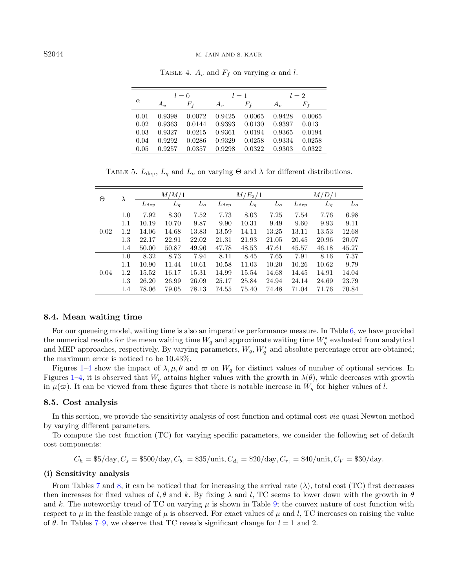| $\alpha$ | $l=0$  |             | $l=1$  |        | $l=2$      |        |
|----------|--------|-------------|--------|--------|------------|--------|
|          | A.,    | $F_{\rm f}$ | $A_v$  | Fŧ     | $A_{\eta}$ | $F_f$  |
| 0.01     | 0.9398 | 0.0072      | 0.9425 | 0.0065 | 0.9428     | 0.0065 |
| 0.02     | 0.9363 | 0.0144      | 0.9393 | 0.0130 | 0.9397     | 0.013  |
| 0.03     | 0.9327 | 0.0215      | 0.9361 | 0.0194 | 0.9365     | 0.0194 |
| 0.04     | 0.9292 | 0.0286      | 0.9329 | 0.0258 | 0.9334     | 0.0258 |
| 0.05     | 0.9257 | 0.0357      | 0.9298 | 0.0322 | 0.9303     | 0.0322 |

<span id="page-17-1"></span><span id="page-17-0"></span>TABLE 4.  $A_v$  and  $F_f$  on varying  $\alpha$  and l.

TABLE 5.  $L_{\text{dep}}$ ,  $L_q$  and  $L_o$  on varying  $\Theta$  and  $\lambda$  for different distributions.

| Θ    | $\lambda$ |               | M/M/1 |       |               | $M/E_2/1$ |       |               | M/D/1 |       |
|------|-----------|---------------|-------|-------|---------------|-----------|-------|---------------|-------|-------|
|      |           | $L_{\rm dep}$ | $L_q$ | $L_o$ | $L_{\rm dep}$ | $L_q$     | $L_o$ | $L_{\rm dep}$ | $L_q$ | $L_o$ |
|      | 1.0       | 7.92          | 8.30  | 7.52  | 7.73          | 8.03      | 7.25  | 7.54          | 7.76  | 6.98  |
|      | 1.1       | 10.19         | 10.70 | 9.87  | 9.90          | 10.31     | 9.49  | 9.60          | 9.93  | 9.11  |
| 0.02 | 1.2       | 14.06         | 14.68 | 13.83 | 13.59         | 14.11     | 13.25 | 13.11         | 13.53 | 12.68 |
|      | 1.3       | 22.17         | 22.91 | 22.02 | 21.31         | 21.93     | 21.05 | 20.45         | 20.96 | 20.07 |
|      | 1.4       | 50.00         | 50.87 | 49.96 | 47.78         | 48.53     | 47.61 | 45.57         | 46.18 | 45.27 |
|      | 1.0       | 8.32          | 8.73  | 7.94  | 8.11          | 8.45      | 7.65  | 7.91          | 8.16  | 7.37  |
|      | 1.1       | 10.90         | 11.44 | 10.61 | 10.58         | 11.03     | 10.20 | 10.26         | 10.62 | 9.79  |
| 0.04 | 1.2       | 15.52         | 16.17 | 15.31 | 14.99         | 15.54     | 14.68 | 14.45         | 14.91 | 14.04 |
|      | 1.3       | 26.20         | 26.99 | 26.09 | 25.17         | 25.84     | 24.94 | 24.14         | 24.69 | 23.79 |
|      | 1.4       | 78.06         | 79.05 | 78.13 | 74.55         | 75.40     | 74.48 | 71.04         | 71.76 | 70.84 |

#### 8.4. Mean waiting time

For our queueing model, waiting time is also an imperative performance measure. In Table [6,](#page-18-0) we have provided the numerical results for the mean waiting time  $W_q$  and approximate waiting time  $W_q^*$  evaluated from analytical and MEP approaches, respectively. By varying parameters,  $W_q$ ,  $W_q^*$  and absolute percentage error are obtained; the maximum error is noticed to be 10.43%.

Figures [1–](#page-18-1)[4](#page-19-0) show the impact of  $\lambda, \mu, \theta$  and  $\varpi$  on  $W_q$  for distinct values of number of optional services. In Figures [1](#page-18-1)[–4,](#page-19-0) it is observed that  $W_q$  attains higher values with the growth in  $\lambda(\theta)$ , while decreases with growth in  $\mu(\varpi)$ . It can be viewed from these figures that there is notable increase in  $W_q$  for higher values of l.

#### 8.5. Cost analysis

In this section, we provide the sensitivity analysis of cost function and optimal cost via quasi Newton method by varying different parameters.

To compute the cost function (TC) for varying specific parameters, we consider the following set of default cost components:

$$
C_h = $5/\text{day}, C_s = $500/\text{day}, C_{b_i} = $35/\text{unit}, C_{d_i} = $20/\text{day}, C_{r_i} = $40/\text{unit}, C_V = $30/\text{day}.
$$

#### (i) Sensitivity analysis

From Tables [7](#page-19-1) and [8,](#page-20-0) it can be noticed that for increasing the arrival rate  $(\lambda)$ , total cost (TC) first decreases then increases for fixed values of l,  $\theta$  and k. By fixing  $\lambda$  and l, TC seems to lower down with the growth in  $\theta$ and k. The noteworthy trend of TC on varying  $\mu$  is shown in Table [9;](#page-20-1) the convex nature of cost function with respect to  $\mu$  in the feasible range of  $\mu$  is observed. For exact values of  $\mu$  and l, TC increases on raising the value of  $\theta$ . In Tables [7–](#page-19-1)[9,](#page-20-1) we observe that TC reveals significant change for  $l = 1$  and 2.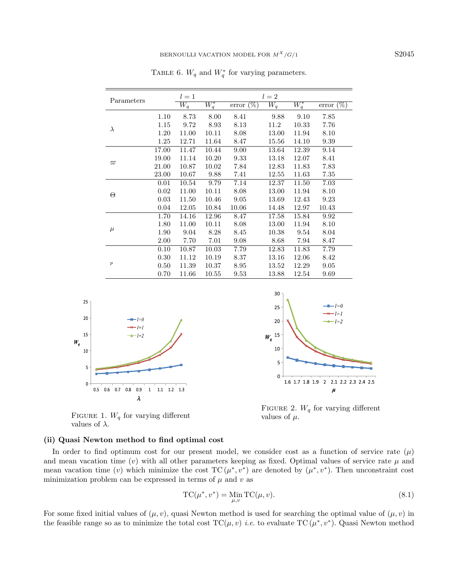| Parameters       |       | $l=1$            |                    |                               | $l=2$            |         |                 |
|------------------|-------|------------------|--------------------|-------------------------------|------------------|---------|-----------------|
|                  |       | $\overline{W_q}$ | $\overline{W_q^*}$ | $\overline{\text{error}(\%)}$ | $\overline{W_q}$ | $W_q^*$ | $(\%)$<br>error |
|                  | 1.10  | 8.73             | 8.00               | 8.41                          | 9.88             | 9.10    | 7.85            |
|                  | 1.15  | 9.72             | 8.93               | 8.13                          | 11.2             | 10.33   | 7.76            |
| $\lambda$        | 1.20  | 11.00            | 10.11              | 8.08                          | 13.00            | 11.94   | 8.10            |
|                  | 1.25  | 12.71            | 11.64              | 8.47                          | 15.56            | 14.10   | 9.39            |
|                  | 17.00 | 11.47            | 10.44              | 9.00                          | 13.64            | 12.39   | 9.14            |
|                  | 19.00 | 11.14            | 10.20              | 9.33                          | 13.18            | 12.07   | 8.41            |
| $\varpi$         | 21.00 | 10.87            | 10.02              | 7.84                          | 12.83            | 11.83   | 7.83            |
|                  | 23.00 | 10.67            | 9.88               | 7.41                          | 12.55            | 11.63   | 7.35            |
|                  | 0.01  | 10.54            | 9.79               | 7.14                          | 12.37            | 11.50   | 7.03            |
|                  | 0.02  | 11.00            | 10.11              | 8.08                          | 13.00            | 11.94   | 8.10            |
| Θ                | 0.03  | 11.50            | 10.46              | 9.05                          | 13.69            | 12.43   | 9.23            |
|                  | 0.04  | 12.05            | 10.84              | 10.06                         | 14.48            | 12.97   | 10.43           |
|                  | 1.70  | 14.16            | 12.96              | 8.47                          | 17.58            | 15.84   | 9.92            |
|                  | 1.80  | 11.00            | 10.11              | 8.08                          | 13.00            | 11.94   | 8.10            |
| $\mu$            | 1.90  | 9.04             | 8.28               | 8.45                          | 10.38            | 9.54    | 8.04            |
|                  | 2.00  | 7.70             | 7.01               | 9.08                          | 8.68             | 7.94    | 8.47            |
|                  | 0.10  | 10.87            | 10.03              | 7.79                          | 12.83            | 11.83   | 7.79            |
|                  | 0.30  | 11.12            | 10.19              | 8.37                          | 13.16            | 12.06   | 8.42            |
| $\boldsymbol{p}$ | 0.50  | 11.39            | 10.37              | 8.95                          | 13.52            | 12.29   | 9.05            |
|                  | 0.70  | 11.66            | 10.55              | 9.53                          | 13.88            | 12.54   | 9.69            |

<span id="page-18-0"></span>TABLE 6.  $W_q$  and  $W_q^*$  for varying parameters.

<span id="page-18-1"></span>





FIGURE 2.  $W_q$  for varying different values of  $\mu$ .

#### (ii) Quasi Newton method to find optimal cost

In order to find optimum cost for our present model, we consider cost as a function of service rate  $(\mu)$ and mean vacation time (v) with all other parameters keeping as fixed. Optimal values of service rate  $\mu$  and mean vacation time (v) which minimize the cost  $TC(\mu^*, v^*)$  are denoted by  $(\mu^*, v^*)$ . Then unconstraint cost minimization problem can be expressed in terms of  $\mu$  and  $v$  as

$$
TC(\mu^*, v^*) = \underset{\mu, v}{\text{Min}} TC(\mu, v). \tag{8.1}
$$

For some fixed initial values of  $(\mu, v)$ , quasi Newton method is used for searching the optimal value of  $(\mu, v)$  in the feasible range so as to minimize the total cost  $TC(\mu, v)$  *i.e.* to evaluate  $TC(\mu^*, v^*)$ . Quasi Newton method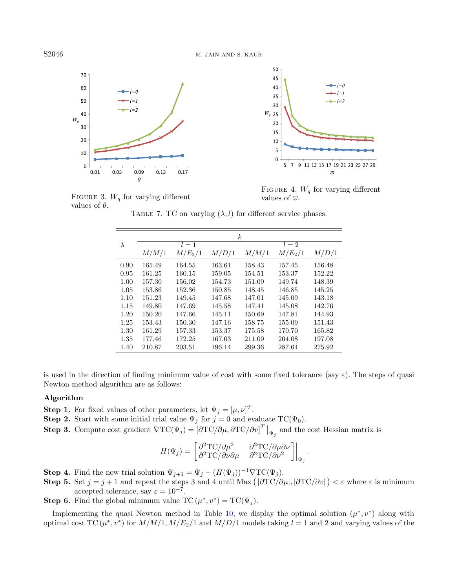

<span id="page-19-1"></span><span id="page-19-0"></span>

FIGURE 4.  $W_q$  for varying different values of  $\overline{\omega}$ .

FIGURE 3.  $W_a$  for varying different values of  $\theta$ .

TABLE 7. TC on varying  $(\lambda, l)$  for different service phases.

|           |        |           |        | $\boldsymbol{k}$ |           |                    |
|-----------|--------|-----------|--------|------------------|-----------|--------------------|
| $\lambda$ |        | $l=1$     |        |                  | $l=2$     |                    |
|           | M/M/1  | $M/E_2/1$ | M/D/1  | M/M/1            | $M/E_2/1$ | $\overline{M/D}/1$ |
| 0.90      | 165.49 | 164.55    | 163.61 | 158.43           | 157.45    | 156.48             |
| 0.95      | 161.25 | 160.15    | 159.05 | 154.51           | 153.37    | 152.22             |
| 1.00      | 157.30 | 156.02    | 154.73 | 151.09           | 149.74    | 148.39             |
| 1.05      | 153.86 | 152.36    | 150.85 | 148.45           | 146.85    | 145.25             |
| 1.10      | 151.23 | 149.45    | 147.68 | 147.01           | 145.09    | 143.18             |
| 1.15      | 149.80 | 147.69    | 145.58 | 147.41           | 145.08    | 142.76             |
| 1.20      | 150.20 | 147.66    | 145.11 | 150.69           | 147.81    | 144.93             |
| 1.25      | 153.43 | 150.30    | 147.16 | 158.75           | 155.09    | 151.43             |
| 1.30      | 161.29 | 157.33    | 153.37 | 175.58           | 170.70    | 165.82             |
| 1.35      | 177.46 | 172.25    | 167.03 | 211.09           | 204.08    | 197.08             |
| 1.40      | 210.87 | 203.51    | 196.14 | 299.36           | 287.64    | 275.92             |

is used in the direction of finding minimum value of cost with some fixed tolerance (say  $\varepsilon$ ). The steps of quasi Newton method algorithm are as follows:

#### Algorithm

**Step 1.** For fixed values of other parameters, let  $\Psi_j = [\mu, \nu]^T$ .

- **Step 2.** Start with some initial trial value  $\Psi_j$  for  $j = 0$  and evaluate TC( $\Psi_0$ ).
- **Step 3.** Compute cost gradient  $\nabla TC(\Psi_j) = [\partial TC/\partial \mu, \partial TC/\partial v]^T \big|_{\Psi_j}$  and the cost Hessian matrix is

$$
H(\Psi_j) = \begin{bmatrix} \partial^2 \text{TC}/\partial \mu^2 & \partial^2 \text{TC}/\partial \mu \partial \nu \\ \partial^2 \text{TC}/\partial \nu \partial \mu & \partial^2 \text{TC}/\partial \nu^2 \end{bmatrix} \Big|_{\Psi_j}.
$$

**Step 4.** Find the new trial solution  $\Psi_{j+1} = \Psi_j - (H(\Psi_j))^{-1} \nabla \text{TC}(\Psi_j)$ .

**Step 5.** Set  $j = j + 1$  and repeat the steps 3 and 4 until Max  $(|\partial TC/\partial \mu|, |\partial TC/\partial v|) < \varepsilon$  where  $\varepsilon$  is minimum accepted tolerance, say  $\varepsilon = 10^{-7}$ .

**Step 6.** Find the global minimum value  $TC(\mu^*, v^*) = TC(\Psi_j)$ .

Implementing the quasi Newton method in Table [10,](#page-21-0) we display the optimal solution  $(\mu^*, v^*)$  along with optimal cost TC  $(\mu^*, v^*)$  for  $M/M/1, M/E_2/1$  and  $M/D/1$  models taking  $l = 1$  and 2 and varying values of the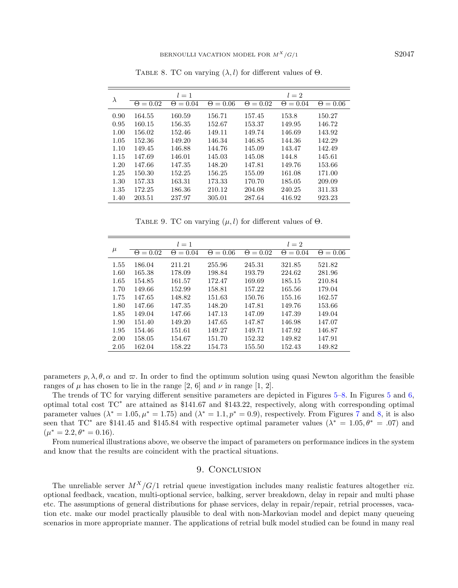<span id="page-20-1"></span><span id="page-20-0"></span>TABLE 8. TC on varying  $(\lambda, l)$  for different values of  $\Theta$ .

|           |                 | $l=1$           |                 | $l=2$                |               |                 |  |
|-----------|-----------------|-----------------|-----------------|----------------------|---------------|-----------------|--|
| $\lambda$ | $\Theta = 0.02$ | $\Theta = 0.04$ | $\Theta = 0.06$ | $= 0.02$<br>$\Theta$ | $= 0.04$<br>Θ | $\Theta = 0.06$ |  |
| 0.90      | 164.55          | 160.59          | 156.71          | 157.45               | 153.8         | 150.27          |  |
| 0.95      | 160.15          | 156.35          | 152.67          | 153.37               | 149.95        | 146.72          |  |
| 1.00      | 156.02          | 152.46          | 149.11          | 149.74               | 146.69        | 143.92          |  |
| 1.05      | 152.36          | 149.20          | 146.34          | 146.85               | 144.36        | 142.29          |  |
| 1.10      | 149.45          | 146.88          | 144.76          | 145.09               | 143.47        | 142.49          |  |
| 1.15      | 147.69          | 146.01          | 145.03          | 145.08               | 144.8         | 145.61          |  |
| 1.20      | 147.66          | 147.35          | 148.20          | 147.81               | 149.76        | 153.66          |  |
| 1.25      | 150.30          | 152.25          | 156.25          | 155.09               | 161.08        | 171.00          |  |
| 1.30      | 157.33          | 163.31          | 173.33          | 170.70               | 185.05        | 209.09          |  |
| 1.35      | 172.25          | 186.36          | 210.12          | 204.08               | 240.25        | 311.33          |  |
| 1.40      | 203.51          | 237.97          | 305.01          | 287.64               | 416.92        | 923.23          |  |

TABLE 9. TC on varying  $(\mu, l)$  for different values of  $\Theta$ .

|       |                 | $l=1$           |                 |                 | $l=2$           |                 |
|-------|-----------------|-----------------|-----------------|-----------------|-----------------|-----------------|
| $\mu$ | $\Theta = 0.02$ | $\Theta = 0.04$ | $\Theta = 0.06$ | $\Theta = 0.02$ | $\Theta = 0.04$ | $\Theta = 0.06$ |
| 1.55  | 186.04          | 211.21          | 255.96          | 245.31          | 321.85          | 521.82          |
| 1.60  | 165.38          | 178.09          | 198.84          | 193.79          | 224.62          | 281.96          |
| 1.65  | 154.85          | 161.57          | 172.47          | 169.69          | 185.15          | 210.84          |
| 1.70  | 149.66          | 152.99          | 158.81          | 157.22          | 165.56          | 179.04          |
| 1.75  | 147.65          | 148.82          | 151.63          | 150.76          | 155.16          | 162.57          |
| 1.80  | 147.66          | 147.35          | 148.20          | 147.81          | 149.76          | 153.66          |
| 1.85  | 149.04          | 147.66          | 147.13          | 147.09          | 147.39          | 149.04          |
| 1.90  | 151.40          | 149.20          | 147.65          | 147.87          | 146.98          | 147.07          |
| 1.95  | 154.46          | 151.61          | 149.27          | 149.71          | 147.92          | 146.87          |
| 2.00  | 158.05          | 154.67          | 151.70          | 152.32          | 149.82          | 147.91          |
| 2.05  | 162.04          | 158.22          | 154.73          | 155.50          | 152.43          | 149.82          |

parameters  $p, \lambda, \theta, \alpha$  and  $\varpi$ . In order to find the optimum solution using quasi Newton algorithm the feasible ranges of  $\mu$  has chosen to lie in the range [2, 6] and  $\nu$  in range [1, 2].

The trends of TC for varying different sensitive parameters are depicted in Figures [5–](#page-21-1)[8.](#page-22-1) In Figures [5](#page-21-1) and [6,](#page-21-2) optimal total cost TC<sup>∗</sup> are attained as \$141.67 and \$143.22, respectively, along with corresponding optimal parameter values ( $\lambda^* = 1.05, \mu^* = 1.75$  $\lambda^* = 1.05, \mu^* = 1.75$  $\lambda^* = 1.05, \mu^* = 1.75$ ) and ( $\lambda^* = 1.1, p^* = 0.9$ ), respectively. From Figures 7 and [8,](#page-22-1) it is also seen that TC<sup>\*</sup> are \$141.45 and \$145.84 with respective optimal parameter values ( $\lambda^* = 1.05, \theta^* = .07$ ) and  $(\mu^* = 2.2, \theta^* = 0.16).$ 

From numerical illustrations above, we observe the impact of parameters on performance indices in the system and know that the results are coincident with the practical situations.

# 9. CONCLUSION

The unreliable server  $M^X/G/1$  retrial queue investigation includes many realistic features altogether viz. optional feedback, vacation, multi-optional service, balking, server breakdown, delay in repair and multi phase etc. The assumptions of general distributions for phase services, delay in repair/repair, retrial processes, vacation etc. make our model practically plausible to deal with non-Markovian model and depict many queueing scenarios in more appropriate manner. The applications of retrial bulk model studied can be found in many real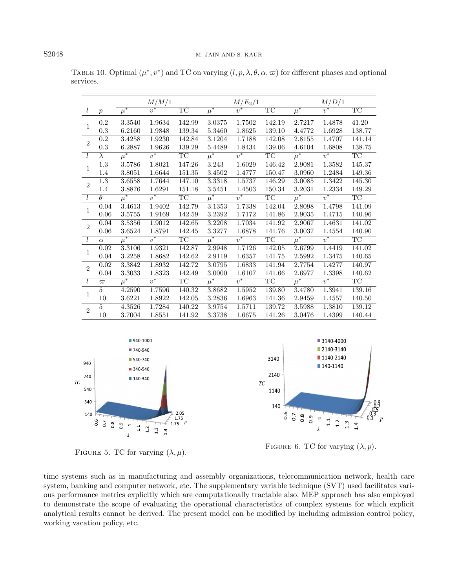|                |                     | M/M/1   |        |                        | $M/E_2/1$          |        |                        | M/D/1              |                  |                        |
|----------------|---------------------|---------|--------|------------------------|--------------------|--------|------------------------|--------------------|------------------|------------------------|
| l              | $\boldsymbol{p}$    | $\mu^*$ |        | <b>TC</b>              | $\overline{\mu^*}$ |        | TC                     | $\overline{\mu^*}$ | $\overline{v^*}$ | TC                     |
| $\mathbf{1}$   | 0.2                 | 3.3540  | 1.9634 | 142.99                 | 3.0375             | 1.7502 | 142.19                 | 2.7217             | 1.4878           | 41.20                  |
|                | $0.3\,$             | 6.2160  | 1.9848 | 139.34                 | 5.3460             | 1.8625 | 139.10                 | $4.4772\,$         | 1.6928           | 138.77                 |
| $\overline{2}$ | 0.2                 | 3.4258  | 1.9230 | 142.84                 | 3.1204             | 1.7188 | 142.08                 | 2.8155             | 1.4707           | 141.14                 |
|                | 0.3                 | 6.2887  | 1.9626 | 139.29                 | 5.4489             | 1.8434 | 139.06                 | 4.6104             | 1.6808           | 138.75                 |
| l              | $\lambda$           | $\mu^*$ | $v^*$  | TC                     | $\overline{\mu^*}$ | $v^*$  | TC                     | $\overline{\mu^*}$ | $v^*$            | TC                     |
| $\mathbf{1}$   | 1.3                 | 3.5786  | 1.8021 | 147.26                 | 3.243              | 1.6029 | 146.42                 | 2.9081             | 1.3582           | 145.37                 |
|                | 1.4                 | 3.8051  | 1.6644 | 151.35                 | 3.4502             | 1.4777 | 150.47                 | 3.0960             | 1.2484           | 149.36                 |
| $\overline{2}$ | 1.3                 | 3.6558  | 1.7644 | 147.10                 | 3.3318             | 1.5737 | 146.29                 | 3.0085             | 1.3422           | 145.30                 |
|                | 1.4                 | 3.8876  | 1.6291 | 151.18                 | 3.5451             | 1.4503 | 150.34                 | 3.2031             | 1.2334           | 149.29                 |
| l              | $\overline{\theta}$ | $\mu^*$ | $v^*$  | $\overline{\text{TC}}$ | $\mu^*$            | $v^*$  | TC                     | $\mu^*$            | $v^*$            | $\overline{\text{TC}}$ |
| $\mathbf{1}$   | 0.04                | 3.4613  | 1.9402 | 142.79                 | 3.1353             | 1.7338 | 142.04                 | 2.8098             | 1.4798           | 141.09                 |
|                | 0.06                | 3.5755  | 1.9169 | 142.59                 | 3.2392             | 1.7172 | 141.86                 | 2.9035             | 1.4715           | 140.96                 |
| $\overline{2}$ | 0.04                | 3.5356  | 1.9012 | 142.65                 | 3.2208             | 1.7034 | 141.92                 | 2.9067             | 1.4631           | 141.02                 |
|                | 0.06                | 3.6524  | 1.8791 | 142.45                 | 3.3277             | 1.6878 | 141.76                 | 3.0037             | 1.4554           | 140.90                 |
| l              | $\alpha$            | $\mu^*$ | $v^*$  | $\overline{\text{TC}}$ | $\overline{\mu^*}$ | $v^*$  | $\overline{\text{TC}}$ | $\overline{\mu^*}$ | $v^*$            | $\overline{\text{TC}}$ |
| $\mathbf{1}$   | 0.02                | 3.3106  | 1.9321 | 142.87                 | 2.9948             | 1.7126 | 142.05                 | 2.6799             | 1.4419           | 141.02                 |
|                | 0.04                | 3.2258  | 1.8682 | 142.62                 | 2.9119             | 1.6357 | 141.75                 | 2.5992             | 1.3475           | 140.65                 |
| $\overline{2}$ | 0.02                | 3.3842  | 1.8932 | 142.72                 | 3.0795             | 1.6833 | 141.94                 | 2.7754             | 1.4277           | 140.97                 |
|                | 0.04                | 3.3033  | 1.8323 | 142.49                 | 3.0000             | 1.6107 | 141.66                 | 2.6977             | 1.3398           | 140.62                 |
| l              | $\varpi$            | $\mu^*$ | $v^*$  | TC                     | $\mu^*$            | $v^*$  | TC                     | $\overline{\mu^*}$ | $v^*$            | TC                     |
| $\mathbf{1}$   | 5                   | 4.2590  | 1.7596 | 140.32                 | 3.8682             | 1.5952 | 139.80                 | 3.4780             | 1.3941           | 139.16                 |
|                | 10                  | 3.6221  | 1.8922 | 142.05                 | 3.2836             | 1.6963 | 141.36                 | 2.9459             | 1.4557           | 140.50                 |
| $\overline{2}$ | 5                   | 4.3526  | 1.7284 | 140.22                 | 3.9754             | 1.5711 | 139.72                 | 3.5988             | 1.3810           | 139.12                 |
|                | 10                  | 3.7004  | 1.8551 | 141.92                 | 3.3738             | 1.6675 | 141.26                 | 3.0476             | 1.4399           | 140.44                 |

<span id="page-21-0"></span>TABLE 10. Optimal  $(\mu^*, v^*)$  and TC on varying  $(l, p, \lambda, \theta, \alpha, \varpi)$  for different phases and optional services.

<span id="page-21-1"></span>

<span id="page-21-2"></span>

FIGURE 5. TC for varying  $(\lambda, \mu)$ .<br>FIGURE 6. TC for varying  $(\lambda, p)$ .

time systems such as in manufacturing and assembly organizations, telecommunication network, health care system, banking and computer network, etc. The supplementary variable technique (SVT) used facilitates various performance metrics explicitly which are computationally tractable also. MEP approach has also employed to demonstrate the scope of evaluating the operational characteristics of complex systems for which explicit analytical results cannot be derived. The present model can be modified by including admission control policy, working vacation policy, etc.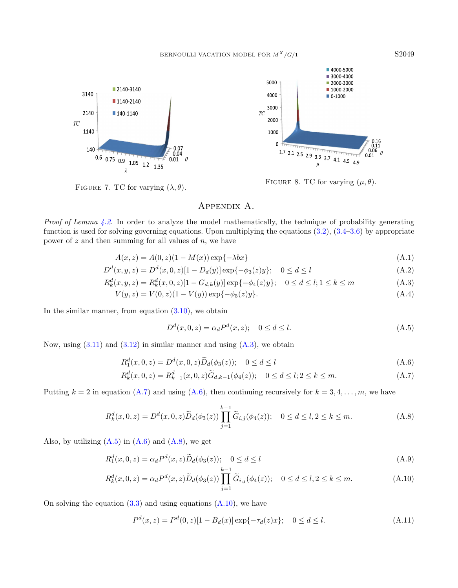<span id="page-22-2"></span>

<span id="page-22-1"></span>■ 4000-5000 ■ 3000-4000 5000 ■ 2000-3000 ■ 1000-2000 4000  $\blacksquare$  0-1000 3000  $TC$ 2000 1000  $\Omega$ 1.7 2.1 2.5 2.9 3.3 3.7 4.1 4.5 4.9  $0.06$  $0.01$ 

FIGURE 7. TC for varying  $(\lambda, \theta)$ .<br>FIGURE 8. TC for varying  $(\mu, \theta)$ .

# <span id="page-22-7"></span><span id="page-22-4"></span>Appendix A.

<span id="page-22-0"></span>Proof of Lemma [4.2.](#page-6-3) In order to analyze the model mathematically, the technique of probability generating function is used for solving governing equations. Upon multiplying the equations  $(3.2)$ ,  $(3.4–3.6)$  $(3.4–3.6)$  by appropriate power of  $z$  and then summing for all values of  $n$ , we have

$$
A(x, z) = A(0, z)(1 - M(x))\exp\{-\lambda bx\}
$$
\n(A.1)

$$
D^{d}(x, y, z) = D^{d}(x, 0, z)[1 - D_{d}(y)] \exp{-\phi_{3}(z)y}; \quad 0 \le d \le l
$$
\n(A.2)

$$
R_k^d(x, y, z) = R_k^d(x, 0, z)[1 - G_{d,k}(y)] \exp\{-\phi_4(z)y\}; \quad 0 \le d \le l; 1 \le k \le m
$$
\n(A.3)

$$
V(y, z) = V(0, z)(1 - V(y)) \exp{-\phi_5(z)y}.
$$
\n(A.4)

In the similar manner, from equation  $(3.10)$ , we obtain

<span id="page-22-12"></span><span id="page-22-9"></span><span id="page-22-8"></span>
$$
D^{d}(x, 0, z) = \alpha_{d} P^{d}(x, z); \quad 0 \le d \le l.
$$
\n(A.5)

Now, using  $(3.11)$  and  $(3.12)$  in similar manner and using  $(A.3)$ , we obtain

$$
R_1^d(x,0,z) = D^d(x,0,z)\widetilde{D}_d(\phi_3(z)); \quad 0 \le d \le l \tag{A.6}
$$

$$
R_k^d(x,0,z) = R_{k-1}^d(x,0,z)\tilde{G}_{d,k-1}(\phi_4(z)); \quad 0 \le d \le l; 2 \le k \le m.
$$
 (A.7)

Putting  $k = 2$  in equation [\(A.7\)](#page-22-4) and using [\(A.6\)](#page-22-5), then continuing recursively for  $k = 3, 4, \ldots, m$ , we have

$$
R_k^d(x,0,z) = D^d(x,0,z)\widetilde{D}_d(\phi_3(z)) \prod_{j=1}^{k-1} \widetilde{G}_{i,j}(\phi_4(z)); \quad 0 \le d \le l, 2 \le k \le m. \tag{A.8}
$$

Also, by utilizing  $(A.5)$  in  $(A.6)$  and  $(A.8)$ , we get

$$
R_1^d(x,0,z) = \alpha_d P^d(x,z)\widetilde{D}_d(\phi_3(z)); \quad 0 \le d \le l \tag{A.9}
$$

$$
R_k^d(x,0,z) = \alpha_d P^d(x,z) \widetilde{D}_d(\phi_3(z)) \prod_{j=1}^{k-1} \widetilde{G}_{i,j}(\phi_4(z)); \quad 0 \le d \le l, 2 \le k \le m. \tag{A.10}
$$

On solving the equation  $(3.3)$  and using equations  $(A.10)$ , we have

$$
P^{d}(x, z) = P^{d}(0, z)[1 - B_{d}(x)] \exp\{-\tau_{d}(z)x\}; \quad 0 \le d \le l.
$$
\n(A.11)

<span id="page-22-13"></span><span id="page-22-11"></span><span id="page-22-10"></span><span id="page-22-6"></span><span id="page-22-5"></span><span id="page-22-3"></span>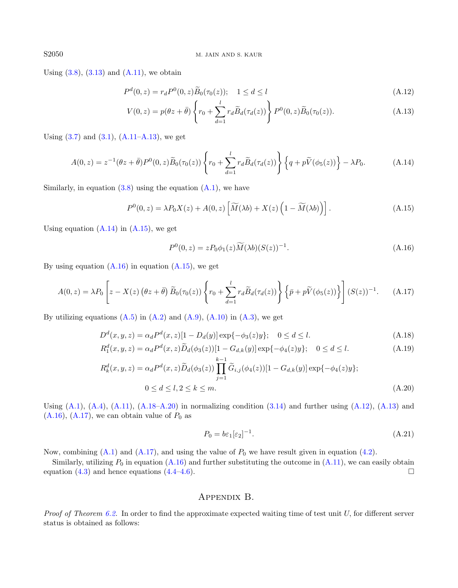Using  $(3.8)$ ,  $(3.13)$  and  $(A.11)$ , we obtain

<span id="page-23-7"></span>
$$
P^{d}(0, z) = r_{d} P^{0}(0, z) \widetilde{B}_{0}(\tau_{0}(z)); \quad 1 \le d \le l
$$
\n(A.12)

<span id="page-23-3"></span><span id="page-23-2"></span><span id="page-23-1"></span>
$$
V(0, z) = p(\theta z + \bar{\theta}) \left\{ r_0 + \sum_{d=1}^l r_d \tilde{B}_d(\tau_d(z)) \right\} P^0(0, z) \tilde{B}_0(\tau_0(z)).
$$
 (A.13)

Using  $(3.7)$  and  $(3.1)$ ,  $(A.11-A.13)$  $(A.11-A.13)$ , we get

$$
A(0,z) = z^{-1}(\theta z + \bar{\theta})P^{0}(0,z)\widetilde{B}_{0}(\tau_{0}(z))\left\{r_{0} + \sum_{d=1}^{l} r_{d}\widetilde{B}_{d}(\tau_{d}(z))\right\}\left\{q + p\widetilde{V}(\phi_{5}(z))\right\} - \lambda P_{0}.
$$
 (A.14)

Similarly, in equation  $(3.8)$  using the equation  $(A.1)$ , we have

$$
P^{0}(0,z) = \lambda P_{0}X(z) + A(0,z)\left[\widetilde{M}(\lambda b) + X(z)\left(1 - \widetilde{M}(\lambda b)\right)\right].
$$
 (A.15)

Using equation  $(A.14)$  in  $(A.15)$ , we get

<span id="page-23-8"></span><span id="page-23-6"></span><span id="page-23-5"></span><span id="page-23-4"></span>
$$
P^{0}(0,z) = zP_0\phi_1(z)\widetilde{M}(\lambda b)(S(z))^{-1}.
$$
\n(A.16)

By using equation  $(A.16)$  in equation  $(A.15)$ , we get

$$
A(0,z) = \lambda P_0 \left[ z - X(z) \left( \theta z + \bar{\theta} \right) \widetilde{B}_0(\tau_0(z)) \left\{ r_0 + \sum_{d=1}^l r_d \widetilde{B}_d(\tau_d(z)) \right\} \left\{ \bar{p} + p \widetilde{V}(\phi_5(z)) \right\} \right] (S(z))^{-1}.
$$
 (A.17)

By utilizing equations  $(A.5)$  in  $(A.2)$  and  $(A.9)$ ,  $(A.10)$  in  $(A.3)$ , we get

$$
D^{d}(x, y, z) = \alpha_{d} P^{d}(x, z) [1 - D_{d}(y)] \exp\{-\phi_{3}(z)y\}; \quad 0 \le d \le l.
$$
\n(A.18)

$$
R_1^d(x, y, z) = \alpha_d P^d(x, z) \widetilde{D}_d(\phi_3(z)) [1 - G_{d,k}(y)] \exp\{-\phi_4(z)y\}; \quad 0 \le d \le l. \tag{A.19}
$$

$$
R_k^d(x, y, z) = \alpha_d P^d(x, z) \widetilde{D}_d(\phi_3(z)) \prod_{j=1}^{k-1} \widetilde{G}_{i,j}(\phi_4(z))[1 - G_{d,k}(y)] \exp\{-\phi_4(z)y\};
$$
  
0 \le d \le l, 2 \le k \le m. (A.20)

Using  $(A.1)$ ,  $(A.4)$ ,  $(A.11)$ ,  $(A.18-A.20)$  $(A.18-A.20)$  in normalizing condition  $(3.14)$  and further using  $(A.12)$ ,  $(A.13)$  and  $(A.16)$ ,  $(A.17)$ , we can obtain value of  $P_0$  as

$$
P_0 = b\varepsilon_1[\varepsilon_2]^{-1}.\tag{A.21}
$$

Now, combining  $(A.1)$  and  $(A.17)$ , and using the value of  $P_0$  we have result given in equation [\(4.2\)](#page-6-1).

Similarly, utilizing  $P_0$  in equation [\(A.16\)](#page-23-4) and further substituting the outcome in [\(A.11\)](#page-22-9), we can easily obtain equation [\(4.3\)](#page-6-4) and hence equations [\(4.4](#page-6-5)[–4.6\)](#page-6-6).

# Appendix B.

<span id="page-23-0"></span>*Proof of Theorem [6.2.](#page-14-1)* In order to find the approximate expected waiting time of test unit  $U$ , for different server status is obtained as follows: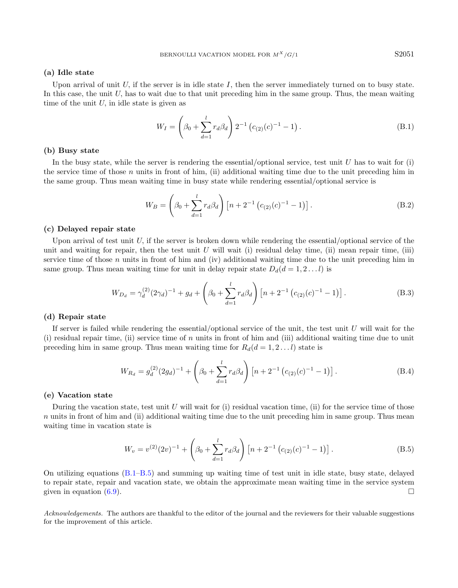### (a) Idle state

Upon arrival of unit  $U$ , if the server is in idle state  $I$ , then the server immediately turned on to busy state. In this case, the unit  $U$ , has to wait due to that unit preceding him in the same group. Thus, the mean waiting time of the unit  $U$ , in idle state is given as

$$
W_I = \left(\beta_0 + \sum_{d=1}^{l} r_d \beta_d\right) 2^{-1} \left(c_{(2)}(c)^{-1} - 1\right). \tag{B.1}
$$

#### (b) Busy state

In the busy state, while the server is rendering the essential/optional service, test unit  $U$  has to wait for (i) the service time of those n units in front of him, (ii) additional waiting time due to the unit preceding him in the same group. Thus mean waiting time in busy state while rendering essential/optional service is

$$
W_B = \left(\beta_0 + \sum_{d=1}^{l} r_d \beta_d\right) \left[n + 2^{-1} \left(c_{(2)}(c)^{-1} - 1\right)\right].\tag{B.2}
$$

#### (c) Delayed repair state

Upon arrival of test unit U, if the server is broken down while rendering the essential/optional service of the unit and waiting for repair, then the test unit U will wait (i) residual delay time, (ii) mean repair time, (iii) service time of those  $n$  units in front of him and (iv) additional waiting time due to the unit preceding him in same group. Thus mean waiting time for unit in delay repair state  $D_d(d = 1, 2...l)$  is

$$
W_{D_d} = \gamma_d^{(2)} (2\gamma_d)^{-1} + g_d + \left(\beta_0 + \sum_{d=1}^l r_d \beta_d\right) \left[n + 2^{-1} \left(c_{(2)}(c)^{-1} - 1\right)\right].
$$
 (B.3)

#### (d) Repair state

If server is failed while rendering the essential/optional service of the unit, the test unit  $U$  will wait for the (i) residual repair time, (ii) service time of n units in front of him and (iii) additional waiting time due to unit preceding him in same group. Thus mean waiting time for  $R_d(d = 1, 2...l)$  state is

<span id="page-24-1"></span>
$$
W_{R_d} = g_d^{(2)} (2g_d)^{-1} + \left(\beta_0 + \sum_{d=1}^l r_d \beta_d\right) \left[n + 2^{-1} \left(c_{(2)}(c)^{-1} - 1\right)\right].\tag{B.4}
$$

#### (e) Vacation state

During the vacation state, test unit U will wait for (i) residual vacation time, (ii) for the service time of those n units in front of him and (ii) additional waiting time due to the unit preceding him in same group. Thus mean waiting time in vacation state is

$$
W_v = v^{(2)}(2v)^{-1} + \left(\beta_0 + \sum_{d=1}^l r_d \beta_d\right) \left[n + 2^{-1} \left(c_{(2)}(c)^{-1} - 1\right)\right].
$$
 (B.5)

On utilizing equations [\(B.1–](#page-24-0)[B.5\)](#page-24-1) and summing up waiting time of test unit in idle state, busy state, delayed to repair state, repair and vacation state, we obtain the approximate mean waiting time in the service system given in equation [\(6.9\)](#page-14-2).

Acknowledgements. The authors are thankful to the editor of the journal and the reviewers for their valuable suggestions for the improvement of this article.

<span id="page-24-0"></span>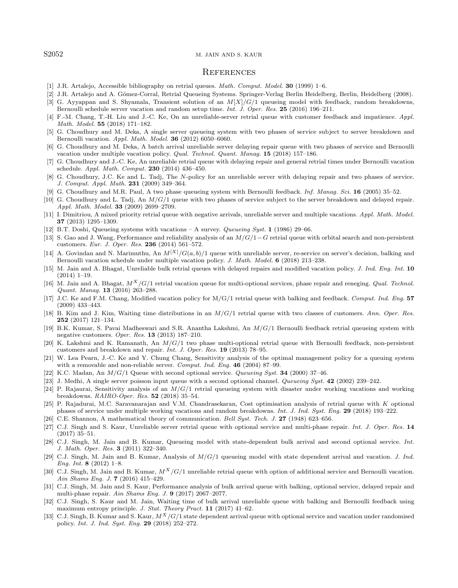#### <span id="page-25-23"></span><span id="page-25-20"></span><span id="page-25-18"></span><span id="page-25-12"></span><span id="page-25-11"></span><span id="page-25-2"></span><span id="page-25-1"></span><span id="page-25-0"></span>S2052 M. JAIN AND S. KAUR

#### **REFERENCES**

- <span id="page-25-32"></span><span id="page-25-7"></span>[1] J.R. Artalejo, Accessible bibliography on retrial queues. Math. Comput. Model. 30 (1999) 1–6.
- [2] J.R. Artalejo and A. Gómez-Corral, Retrial Queueing Systems. Springer-Verlag Berlin Heidelberg, Berlin, Heidelberg (2008).
- <span id="page-25-13"></span>[3] G. Ayyappan and S. Shyamala, Transient solution of an  $M[X]/G/1$  queueing model with feedback, random breakdowns. Bernoulli schedule server vacation and random setup time. Int. J. Oper. Res. 25 (2016) 196–211.
- <span id="page-25-14"></span>[4] F.-M. Chang, T.-H. Liu and J.-C. Ke, On an unreliable-server retrial queue with customer feedback and impatience. Appl. Math. Model. 55 (2018) 171–182.
- <span id="page-25-4"></span>[5] G. Choudhury and M. Deka, A single server queueing system with two phases of service subject to server breakdown and Bernoulli vacation. Appl. Math. Model. 36 (2012) 6050–6060.
- <span id="page-25-27"></span>[6] G. Choudhury and M. Deka, A batch arrival unreliable server delaying repair queue with two phases of service and Bernoulli vacation under multiple vacation policy. Qual. Technol. Quant. Manag. 15 (2018) 157–186.
- <span id="page-25-21"></span>[7] G. Choudhury and J.-C. Ke, An unreliable retrial queue with delaying repair and general retrial times under Bernoulli vacation schedule. Appl. Math. Comput. 230 (2014) 436–450.
- <span id="page-25-25"></span>[8] G. Choudhury, J.C. Ke and L. Tadj, The N-policy for an unreliable server with delaying repair and two phases of service. J. Comput. Appl. Math. 231 (2009) 349–364.
- <span id="page-25-8"></span>[9] G. Choudhury and M.R. Paul, A two phase queueing system with Bernoulli feedback. Inf. Manag. Sci. 16 (2005) 35–52.
- <span id="page-25-5"></span>[10] G. Choudhury and L. Tadj, An  $M/G/1$  queue with two phases of service subject to the server breakdown and delayed repair. Appl. Math. Model. 33 (2009) 2699–2709.
- <span id="page-25-9"></span>[11] I. Dimitriou, A mixed priority retrial queue with negative arrivals, unreliable server and multiple vacations. Appl. Math. Model. 37 (2013) 1295–1309.
- <span id="page-25-10"></span>[12] B.T. Doshi, Queueing systems with vacations – A survey. Queueing Syst. 1 (1986) 29–66.
- [13] S. Gao and J. Wang, Performance and reliability analysis of an M/G/1−G retrial queue with orbital search and non-persistent customers. Eur. J. Oper. Res. 236 (2014) 561–572.
- <span id="page-25-24"></span>[14] A. Govindan and N. Marimuthu, An  $M^{[X]}/G(a, b)/1$  queue with unreliable server, re-service on server's decision, balking and Bernoulli vacation schedule under multiple vacation policy. J. Math. Model. 6 (2018) 213–238.
- <span id="page-25-19"></span><span id="page-25-15"></span>[15] M. Jain and A. Bhagat, Unreliable bulk retrial queues with delayed repairs and modified vacation policy. J. Ind. Eng. Int. 10 (2014) 1–19.
- <span id="page-25-3"></span>[16] M. Jain and A. Bhagat,  $M^X/G/1$  retrial vacation queue for multi-optional services, phase repair and reneging. *Qual. Technol.* Quant. Manag. 13 (2016) 263–288.
- <span id="page-25-6"></span>[17] J.C. Ke and F.M. Chang, Modified vacation policy for M/G/1 retrial queue with balking and feedback. Comput. Ind. Eng. 57 (2009) 433–443.
- <span id="page-25-31"></span><span id="page-25-28"></span>[18] B. Kim and J. Kim, Waiting time distributions in an  $M/G/1$  retrial queue with two classes of customers. Ann. Oper. Res. 252 (2017) 121–134.
- <span id="page-25-29"></span>[19] B.K. Kumar, S. Pavai Madheswari and S.R. Anantha Lakshmi, An M/G/1 Bernoulli feedback retrial queueing system with negative customers. Oper. Res. 13 (2013) 187–210.
- <span id="page-25-16"></span>[20] K. Lakshmi and K. Ramanath, An  $M/G/1$  two phase multi-optional retrial queue with Bernoulli feedback, non-persistent customers and breakdown and repair. Int. J. Oper. Res. 19 (2013) 78–95.
- <span id="page-25-17"></span>[21] W. Lea Pearn, J.-C. Ke and Y. Chung Chang, Sensitivity analysis of the optimal management policy for a queuing system with a removable and non-reliable server. Comput. Ind. Eng. 46 (2004) 87-99.
- <span id="page-25-22"></span>[22] K.C. Madan, An  $M/G/1$  Queue with second optional service. Queueing Syst. **34** (2000) 37–46.
- [23] J. Medhi, A single server poisson input queue with a second optional channel. Queueing Syst. 42 (2002) 239–242.
- <span id="page-25-26"></span>[24] P. Rajaurai, Sensitivity analysis of an  $M/G/1$  retrial queueing system with disaster under working vacations and working breakdowns. RAIRO-Oper. Res. 52 (2018) 35–54.
- <span id="page-25-30"></span>[25] P. Rajadurai, M.C. Saravanarajan and V.M. Chandrasekaran, Cost optimisation analysis of retrial queue with K optional phases of service under multiple working vacations and random breakdowns. Int. J. Ind. Syst. Eng. 29 (2018) 193–222.
- [26] C.E. Shannon, A mathematical theory of communication. Bell Syst. Tech. J. 27 (1948) 623–656.
- [27] C.J. Singh and S. Kaur, Unreliable server retrial queue with optional service and multi-phase repair. Int. J. Oper. Res. 14 (2017) 35–51.
- [28] C.J. Singh, M. Jain and B. Kumar, Queueing model with state-dependent bulk arrival and second optional service. Int. J. Math. Oper. Res. 3 (2011) 322–340.
- [29] C.J. Singh, M. Jain and B. Kumar, Analysis of  $M/G/1$  queueing model with state dependent arrival and vacation. J. Ind. Eng. Int.  $8(2012)$  1–8.
- [30] C.J. Singh, M. Jain and B. Kumar,  $M^X/G/1$  unreliable retrial queue with option of additional service and Bernoulli vacation. Ain Shams Eng. J. 7 (2016) 415–429.
- [31] C.J. Singh, M. Jain and S. Kaur, Performance analysis of bulk arrival queue with balking, optional service, delayed repair and multi-phase repair. Ain Shams Eng. J. 9 (2017) 2067–2077.
- [32] C.J. Singh, S. Kaur and M. Jain, Waiting time of bulk arrival unreliable queue with balking and Bernoulli feedback using maximum entropy principle. J. Stat. Theory Pract. 11 (2017) 41–62.
- [33] C.J. Singh, B. Kumar and S. Kaur,  $M^X/G/1$  state dependent arrival queue with optional service and vacation under randomised policy. Int. J. Ind. Syst. Eng. 29 (2018) 252–272.